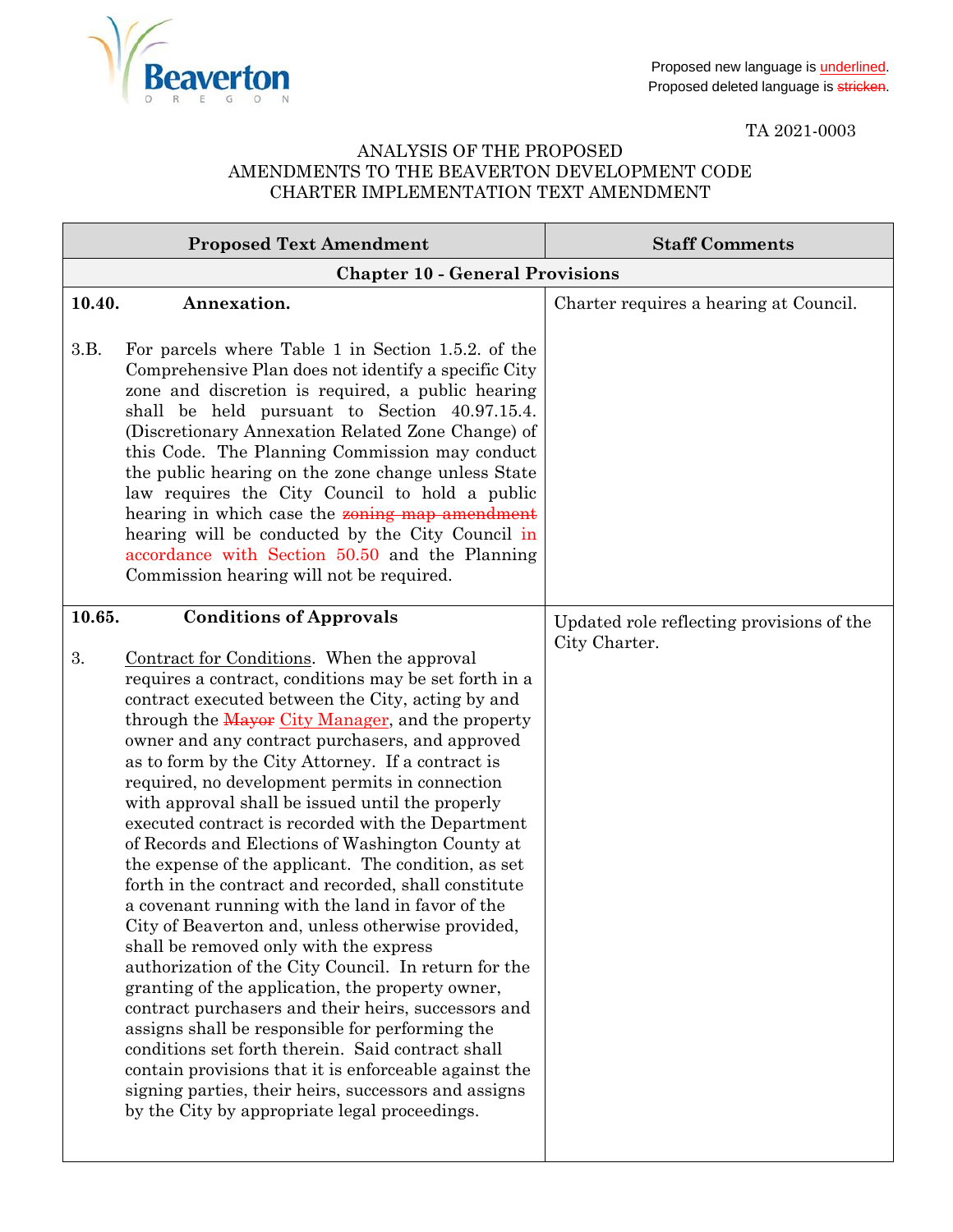

TA 2021-0003

## ANALYSIS OF THE PROPOSED AMENDMENTS TO THE BEAVERTON DEVELOPMENT CODE CHARTER IMPLEMENTATION TEXT AMENDMENT

| <b>Proposed Text Amendment</b>                                                                                                                                                                                                                                                                                                                                                                                                                                                                                                                                                                                                                                                                                                                                                                                                                                                                                                                                                                                                                                                                                                                                                                                                                                                                       | <b>Staff Comments</b>                                      |
|------------------------------------------------------------------------------------------------------------------------------------------------------------------------------------------------------------------------------------------------------------------------------------------------------------------------------------------------------------------------------------------------------------------------------------------------------------------------------------------------------------------------------------------------------------------------------------------------------------------------------------------------------------------------------------------------------------------------------------------------------------------------------------------------------------------------------------------------------------------------------------------------------------------------------------------------------------------------------------------------------------------------------------------------------------------------------------------------------------------------------------------------------------------------------------------------------------------------------------------------------------------------------------------------------|------------------------------------------------------------|
| <b>Chapter 10 - General Provisions</b>                                                                                                                                                                                                                                                                                                                                                                                                                                                                                                                                                                                                                                                                                                                                                                                                                                                                                                                                                                                                                                                                                                                                                                                                                                                               |                                                            |
| 10.40.<br>Annexation.<br>3.B.<br>For parcels where Table 1 in Section 1.5.2. of the<br>Comprehensive Plan does not identify a specific City<br>zone and discretion is required, a public hearing<br>shall be held pursuant to Section 40.97.15.4.<br>(Discretionary Annexation Related Zone Change) of<br>this Code. The Planning Commission may conduct<br>the public hearing on the zone change unless State<br>law requires the City Council to hold a public<br>hearing in which case the <b>zoning map amendment</b><br>hearing will be conducted by the City Council in<br>accordance with Section 50.50 and the Planning<br>Commission hearing will not be required.                                                                                                                                                                                                                                                                                                                                                                                                                                                                                                                                                                                                                          | Charter requires a hearing at Council.                     |
| <b>Conditions of Approvals</b><br>10.65.<br>3.<br>Contract for Conditions. When the approval<br>requires a contract, conditions may be set forth in a<br>contract executed between the City, acting by and<br>through the Mayor City Manager, and the property<br>owner and any contract purchasers, and approved<br>as to form by the City Attorney. If a contract is<br>required, no development permits in connection<br>with approval shall be issued until the properly<br>executed contract is recorded with the Department<br>of Records and Elections of Washington County at<br>the expense of the applicant. The condition, as set<br>forth in the contract and recorded, shall constitute<br>a covenant running with the land in favor of the<br>City of Beaverton and, unless otherwise provided,<br>shall be removed only with the express<br>authorization of the City Council. In return for the<br>granting of the application, the property owner,<br>contract purchasers and their heirs, successors and<br>assigns shall be responsible for performing the<br>conditions set forth therein. Said contract shall<br>contain provisions that it is enforceable against the<br>signing parties, their heirs, successors and assigns<br>by the City by appropriate legal proceedings. | Updated role reflecting provisions of the<br>City Charter. |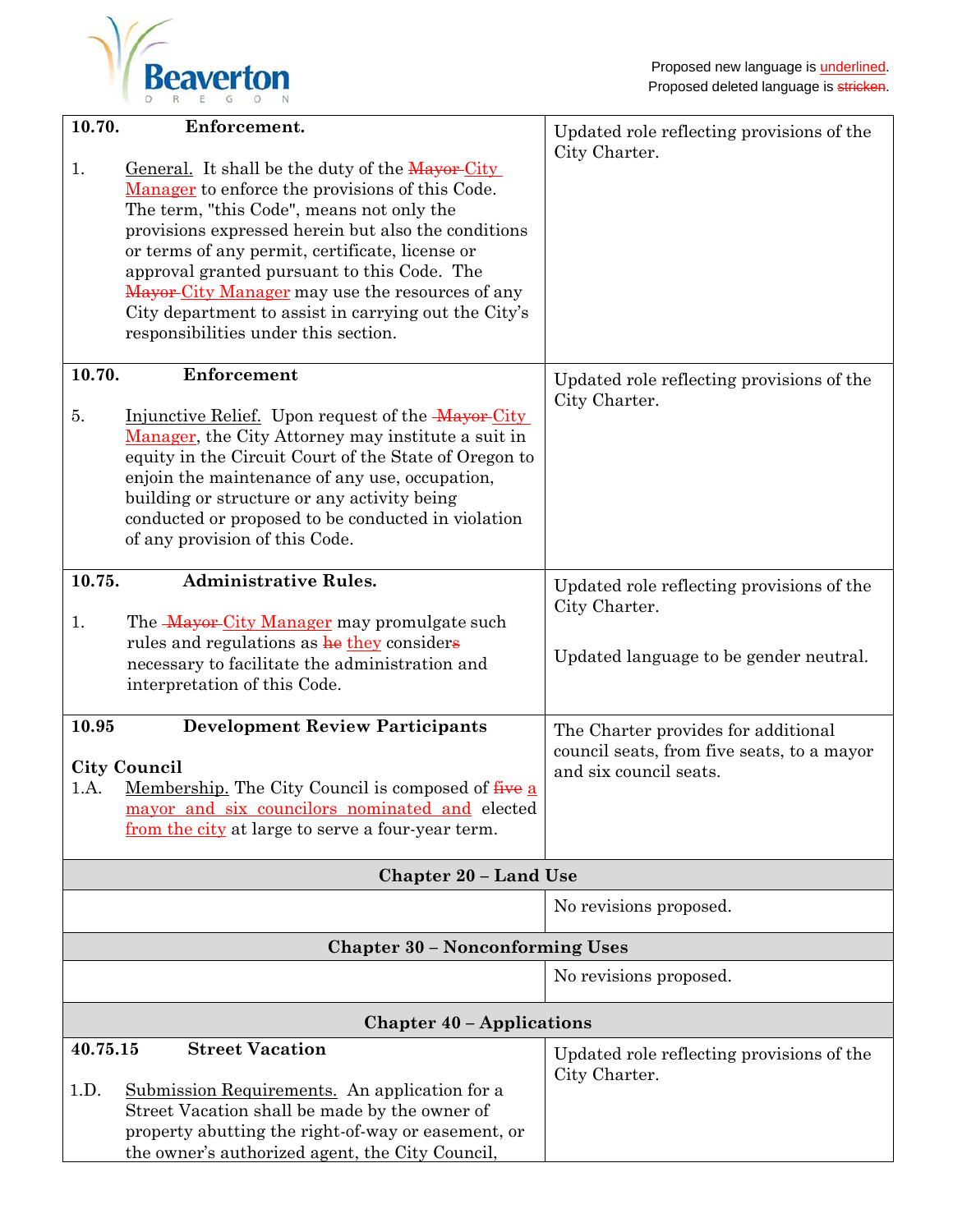

| 10.70.                                                                                                                                                                                                                                             | Enforcement.                                                                                                                                                                                                                                                                                                                                                                                                                                                |                                                                                                             |
|----------------------------------------------------------------------------------------------------------------------------------------------------------------------------------------------------------------------------------------------------|-------------------------------------------------------------------------------------------------------------------------------------------------------------------------------------------------------------------------------------------------------------------------------------------------------------------------------------------------------------------------------------------------------------------------------------------------------------|-------------------------------------------------------------------------------------------------------------|
| 1.                                                                                                                                                                                                                                                 | General. It shall be the duty of the Mayor-City<br>Manager to enforce the provisions of this Code.<br>The term, "this Code", means not only the<br>provisions expressed herein but also the conditions<br>or terms of any permit, certificate, license or<br>approval granted pursuant to this Code. The<br>Mayor-City Manager may use the resources of any<br>City department to assist in carrying out the City's<br>responsibilities under this section. | Updated role reflecting provisions of the<br>City Charter.                                                  |
| 10.70.<br>5.                                                                                                                                                                                                                                       | Enforcement<br>Injunctive Relief. Upon request of the Mayor City<br>Manager, the City Attorney may institute a suit in<br>equity in the Circuit Court of the State of Oregon to<br>enjoin the maintenance of any use, occupation,<br>building or structure or any activity being<br>conducted or proposed to be conducted in violation<br>of any provision of this Code.                                                                                    | Updated role reflecting provisions of the<br>City Charter.                                                  |
| 10.75.<br>1.                                                                                                                                                                                                                                       | <b>Administrative Rules.</b><br>The Mayor City Manager may promulgate such<br>rules and regulations as he they considers<br>necessary to facilitate the administration and<br>interpretation of this Code.                                                                                                                                                                                                                                                  | Updated role reflecting provisions of the<br>City Charter.<br>Updated language to be gender neutral.        |
| 10.95<br><b>Development Review Participants</b><br><b>City Council</b><br>Membership. The City Council is composed of five a<br>1.A.<br><u>mayor and six councilors nominated and</u> elected<br>from the city at large to serve a four-year term. |                                                                                                                                                                                                                                                                                                                                                                                                                                                             | The Charter provides for additional<br>council seats, from five seats, to a mayor<br>and six council seats. |
|                                                                                                                                                                                                                                                    | <b>Chapter 20 - Land Use</b>                                                                                                                                                                                                                                                                                                                                                                                                                                |                                                                                                             |
|                                                                                                                                                                                                                                                    |                                                                                                                                                                                                                                                                                                                                                                                                                                                             | No revisions proposed.                                                                                      |
|                                                                                                                                                                                                                                                    | <b>Chapter 30 - Nonconforming Uses</b>                                                                                                                                                                                                                                                                                                                                                                                                                      |                                                                                                             |
|                                                                                                                                                                                                                                                    |                                                                                                                                                                                                                                                                                                                                                                                                                                                             | No revisions proposed.                                                                                      |
|                                                                                                                                                                                                                                                    | <b>Chapter 40 - Applications</b>                                                                                                                                                                                                                                                                                                                                                                                                                            |                                                                                                             |
| 40.75.15<br>1.D.                                                                                                                                                                                                                                   | <b>Street Vacation</b><br>Submission Requirements. An application for a<br>Street Vacation shall be made by the owner of<br>property abutting the right-of-way or easement, or<br>the owner's authorized agent, the City Council,                                                                                                                                                                                                                           | Updated role reflecting provisions of the<br>City Charter.                                                  |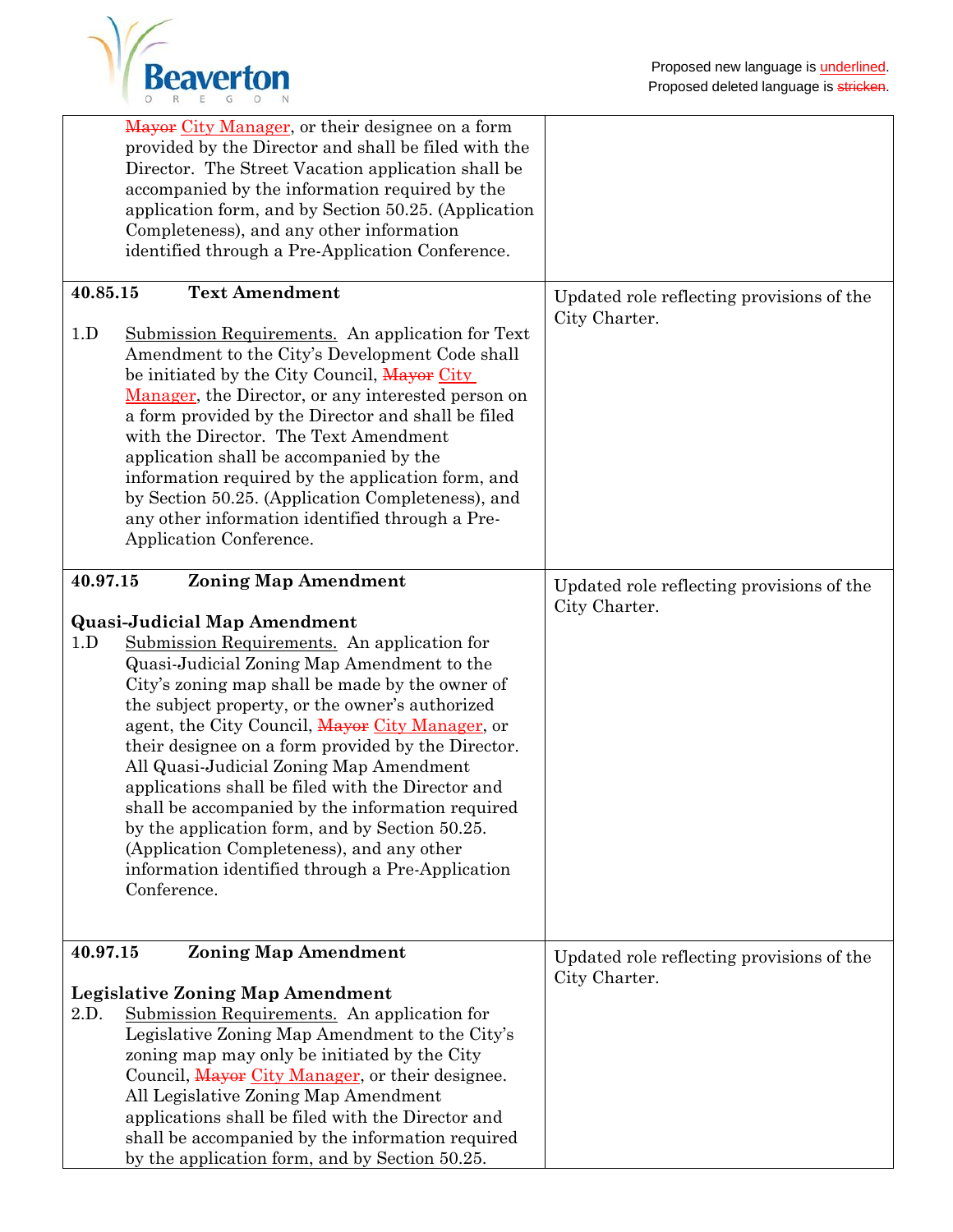

|          | Mayor City Manager, or their designee on a form<br>provided by the Director and shall be filed with the<br>Director. The Street Vacation application shall be<br>accompanied by the information required by the<br>application form, and by Section 50.25. (Application<br>Completeness), and any other information<br>identified through a Pre-Application Conference.                                                                                                                                                                                                                                                                                               |                                                            |
|----------|-----------------------------------------------------------------------------------------------------------------------------------------------------------------------------------------------------------------------------------------------------------------------------------------------------------------------------------------------------------------------------------------------------------------------------------------------------------------------------------------------------------------------------------------------------------------------------------------------------------------------------------------------------------------------|------------------------------------------------------------|
| 40.85.15 | <b>Text Amendment</b>                                                                                                                                                                                                                                                                                                                                                                                                                                                                                                                                                                                                                                                 | Updated role reflecting provisions of the                  |
| 1.D      | Submission Requirements. An application for Text<br>Amendment to the City's Development Code shall<br>be initiated by the City Council, Mayor City<br>Manager, the Director, or any interested person on<br>a form provided by the Director and shall be filed<br>with the Director. The Text Amendment<br>application shall be accompanied by the<br>information required by the application form, and<br>by Section 50.25. (Application Completeness), and<br>any other information identified through a Pre-<br>Application Conference.                                                                                                                            | City Charter.                                              |
| 40.97.15 | <b>Zoning Map Amendment</b>                                                                                                                                                                                                                                                                                                                                                                                                                                                                                                                                                                                                                                           | Updated role reflecting provisions of the                  |
| 1.D      | <b>Quasi-Judicial Map Amendment</b><br>Submission Requirements. An application for<br>Quasi-Judicial Zoning Map Amendment to the<br>City's zoning map shall be made by the owner of<br>the subject property, or the owner's authorized<br>agent, the City Council, Mayor City Manager, or<br>their designee on a form provided by the Director.<br>All Quasi-Judicial Zoning Map Amendment<br>applications shall be filed with the Director and<br>shall be accompanied by the information required<br>by the application form, and by Section 50.25.<br>(Application Completeness), and any other<br>information identified through a Pre-Application<br>Conference. | City Charter.                                              |
| 40.97.15 | <b>Zoning Map Amendment</b>                                                                                                                                                                                                                                                                                                                                                                                                                                                                                                                                                                                                                                           | Updated role reflecting provisions of the<br>City Charter. |
|          | <b>Legislative Zoning Map Amendment</b>                                                                                                                                                                                                                                                                                                                                                                                                                                                                                                                                                                                                                               |                                                            |
| 2.D.     | Submission Requirements. An application for<br>Legislative Zoning Map Amendment to the City's<br>zoning map may only be initiated by the City<br>Council, Mayor City Manager, or their designee.<br>All Legislative Zoning Map Amendment<br>applications shall be filed with the Director and<br>shall be accompanied by the information required<br>by the application form, and by Section 50.25.                                                                                                                                                                                                                                                                   |                                                            |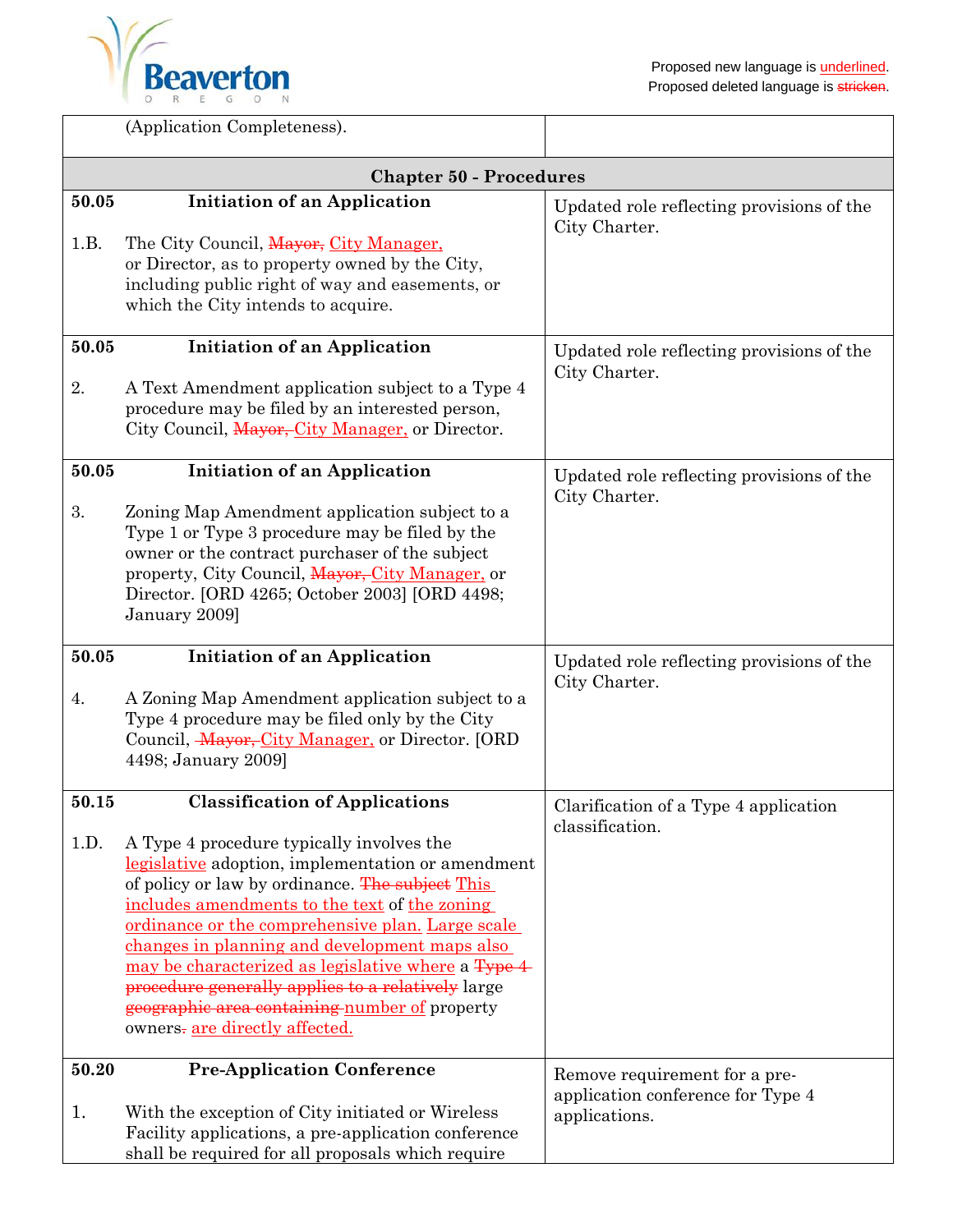

|               | (Application Completeness).                                                                                                                                                                                                                                                                                                                                                                                                                                                                                                                   |                                                                                     |
|---------------|-----------------------------------------------------------------------------------------------------------------------------------------------------------------------------------------------------------------------------------------------------------------------------------------------------------------------------------------------------------------------------------------------------------------------------------------------------------------------------------------------------------------------------------------------|-------------------------------------------------------------------------------------|
|               | <b>Chapter 50 - Procedures</b>                                                                                                                                                                                                                                                                                                                                                                                                                                                                                                                |                                                                                     |
| 50.05<br>1.B. | <b>Initiation of an Application</b><br>The City Council, Mayor, City Manager,<br>or Director, as to property owned by the City,<br>including public right of way and easements, or<br>which the City intends to acquire.                                                                                                                                                                                                                                                                                                                      | Updated role reflecting provisions of the<br>City Charter.                          |
| 50.05<br>2.   | <b>Initiation of an Application</b><br>A Text Amendment application subject to a Type 4<br>procedure may be filed by an interested person,<br>City Council, Mayor, City Manager, or Director.                                                                                                                                                                                                                                                                                                                                                 | Updated role reflecting provisions of the<br>City Charter.                          |
| 50.05<br>3.   | <b>Initiation of an Application</b><br>Zoning Map Amendment application subject to a<br>Type 1 or Type 3 procedure may be filed by the<br>owner or the contract purchaser of the subject<br>property, City Council, Mayor, City Manager, or<br>Director. [ORD 4265; October 2003] [ORD 4498;<br>January 2009]                                                                                                                                                                                                                                 | Updated role reflecting provisions of the<br>City Charter.                          |
| 50.05<br>4.   | <b>Initiation of an Application</b><br>A Zoning Map Amendment application subject to a<br>Type 4 procedure may be filed only by the City<br>Council, <i>Mayor, City Manager</i> , or Director. [ORD<br>4498; January 2009]                                                                                                                                                                                                                                                                                                                    | Updated role reflecting provisions of the<br>City Charter.                          |
| 50.15<br>1.D. | <b>Classification of Applications</b><br>A Type 4 procedure typically involves the<br>legislative adoption, implementation or amendment<br>of policy or law by ordinance. The subject This<br>includes amendments to the text of the zoning<br>ordinance or the comprehensive plan. Large scale<br>changes in planning and development maps also<br>may be characterized as legislative where a Type 4<br>procedure generally applies to a relatively large<br>geographic area containing number of property<br>owners-are directly affected. | Clarification of a Type 4 application<br>classification.                            |
| 50.20<br>1.   | <b>Pre-Application Conference</b><br>With the exception of City initiated or Wireless<br>Facility applications, a pre-application conference<br>shall be required for all proposals which require                                                                                                                                                                                                                                                                                                                                             | Remove requirement for a pre-<br>application conference for Type 4<br>applications. |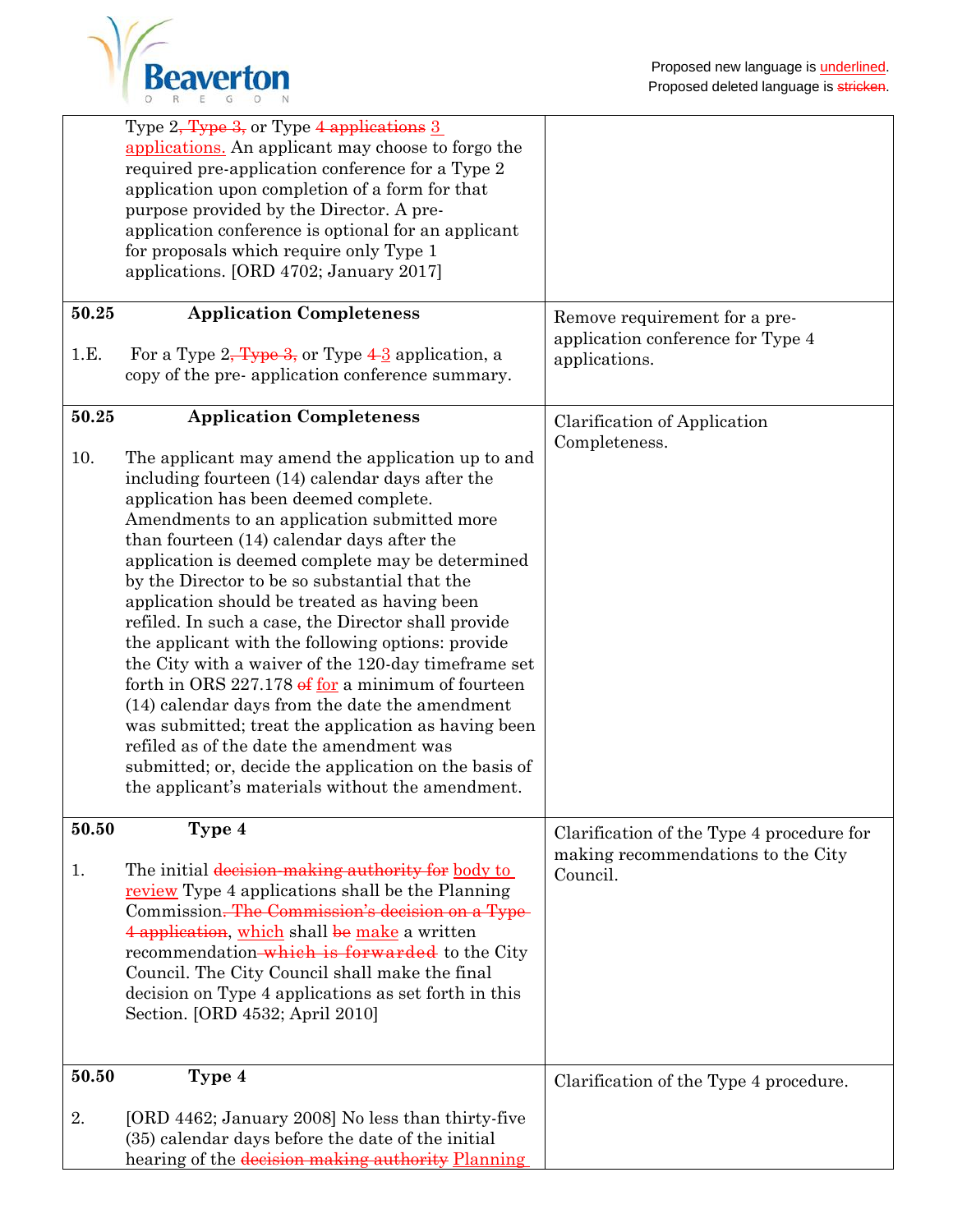|       | Type 2 <del>, Type 3,</del> or Type 4 applications 3<br>applications. An applicant may choose to forgo the<br>required pre-application conference for a Type 2 |                                                                    |
|-------|----------------------------------------------------------------------------------------------------------------------------------------------------------------|--------------------------------------------------------------------|
|       | application upon completion of a form for that                                                                                                                 |                                                                    |
|       | purpose provided by the Director. A pre-                                                                                                                       |                                                                    |
|       | application conference is optional for an applicant                                                                                                            |                                                                    |
|       | for proposals which require only Type 1                                                                                                                        |                                                                    |
|       | applications. [ORD 4702; January 2017]                                                                                                                         |                                                                    |
| 50.25 | <b>Application Completeness</b>                                                                                                                                | Remove requirement for a pre-<br>application conference for Type 4 |
| 1.E.  | For a Type $2$ , Type $3$ , or Type $4-3$ application, a                                                                                                       | applications.                                                      |
|       | copy of the pre-application conference summary.                                                                                                                |                                                                    |
|       |                                                                                                                                                                |                                                                    |
| 50.25 | <b>Application Completeness</b>                                                                                                                                | Clarification of Application                                       |
| 10.   | The applicant may amend the application up to and                                                                                                              | Completeness.                                                      |
|       | including fourteen (14) calendar days after the                                                                                                                |                                                                    |
|       | application has been deemed complete.                                                                                                                          |                                                                    |
|       | Amendments to an application submitted more                                                                                                                    |                                                                    |
|       | than fourteen (14) calendar days after the                                                                                                                     |                                                                    |
|       | application is deemed complete may be determined                                                                                                               |                                                                    |
|       | by the Director to be so substantial that the<br>application should be treated as having been                                                                  |                                                                    |
|       | refiled. In such a case, the Director shall provide                                                                                                            |                                                                    |
|       | the applicant with the following options: provide                                                                                                              |                                                                    |
|       | the City with a waiver of the 120-day time frame set                                                                                                           |                                                                    |
|       | forth in ORS $227.178 \text{ e}$ for a minimum of fourteen                                                                                                     |                                                                    |
|       | (14) calendar days from the date the amendment                                                                                                                 |                                                                    |
|       | was submitted; treat the application as having been                                                                                                            |                                                                    |
|       | refiled as of the date the amendment was                                                                                                                       |                                                                    |
|       | submitted; or, decide the application on the basis of<br>the applicant's materials without the amendment.                                                      |                                                                    |
|       |                                                                                                                                                                |                                                                    |
| 50.50 | Type 4                                                                                                                                                         | Clarification of the Type 4 procedure for                          |
|       |                                                                                                                                                                | making recommendations to the City                                 |
| 1.    | The initial decision-making authority for body to<br>review Type 4 applications shall be the Planning                                                          | Council.                                                           |
|       | Commission. The Commission's decision on a Type-                                                                                                               |                                                                    |
|       | 4 application, which shall be make a written                                                                                                                   |                                                                    |
|       | recommendation-which is forwarded to the City                                                                                                                  |                                                                    |
|       | Council. The City Council shall make the final                                                                                                                 |                                                                    |
|       | decision on Type 4 applications as set forth in this                                                                                                           |                                                                    |
|       | Section. [ORD 4532; April 2010]                                                                                                                                |                                                                    |
|       |                                                                                                                                                                |                                                                    |
| 50.50 | Type 4                                                                                                                                                         | Clarification of the Type 4 procedure.                             |
|       |                                                                                                                                                                |                                                                    |
| 2.    | [ORD 4462; January 2008] No less than thirty-five<br>(35) calendar days before the date of the initial                                                         |                                                                    |
|       | hearing of the decision making authority Planning                                                                                                              |                                                                    |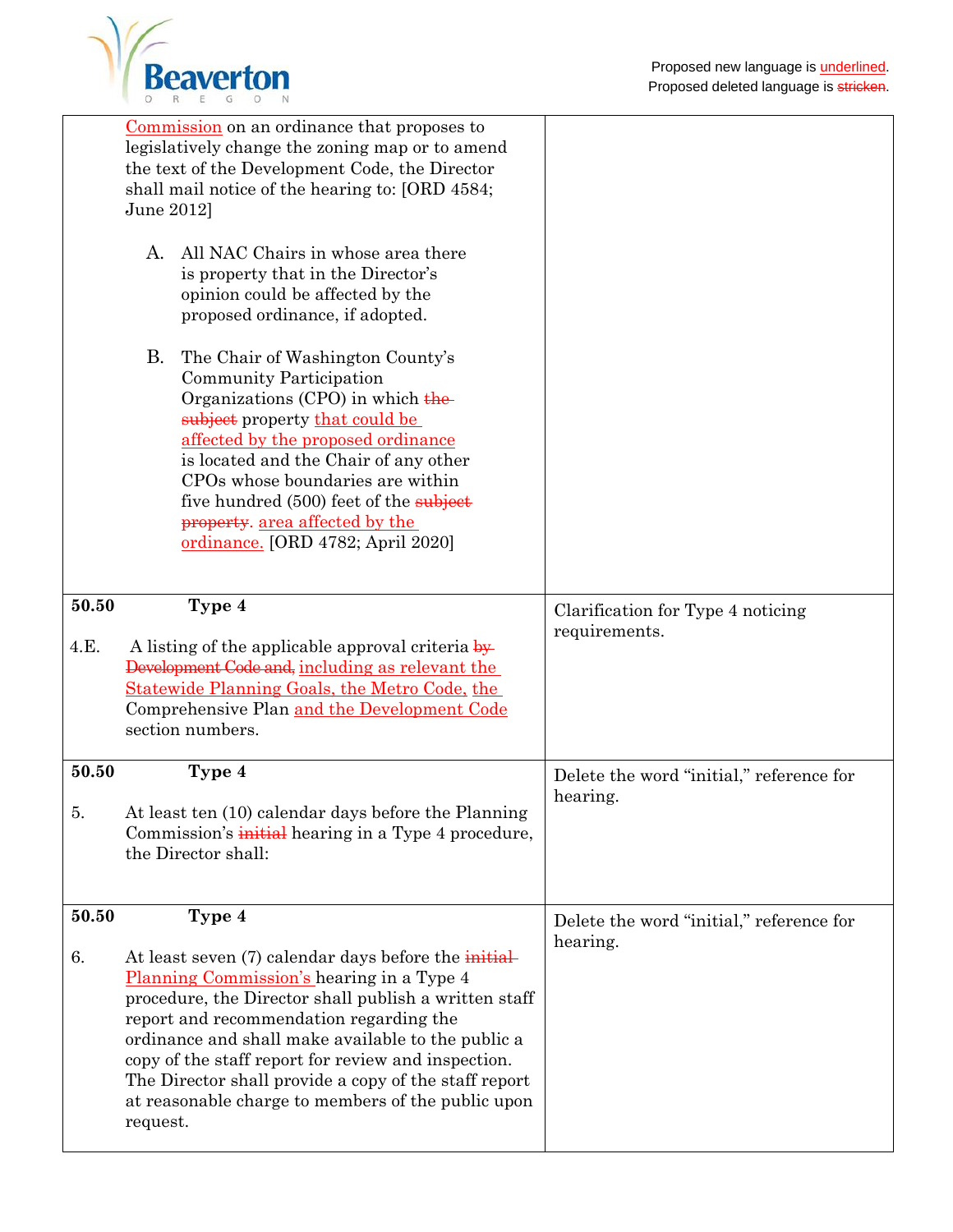

|               | Commission on an ordinance that proposes to<br>legislatively change the zoning map or to amend<br>the text of the Development Code, the Director<br>shall mail notice of the hearing to: [ORD 4584;<br>June 2012]<br>All NAC Chairs in whose area there<br>А.<br>is property that in the Director's<br>opinion could be affected by the<br>proposed ordinance, if adopted.<br>B.<br>The Chair of Washington County's<br>Community Participation<br>Organizations (CPO) in which $\frac{1}{2}$<br>subject property that could be<br>affected by the proposed ordinance<br>is located and the Chair of any other<br>CPOs whose boundaries are within<br>five hundred (500) feet of the subject |                                                      |
|---------------|----------------------------------------------------------------------------------------------------------------------------------------------------------------------------------------------------------------------------------------------------------------------------------------------------------------------------------------------------------------------------------------------------------------------------------------------------------------------------------------------------------------------------------------------------------------------------------------------------------------------------------------------------------------------------------------------|------------------------------------------------------|
|               | property. area affected by the<br>ordinance. [ORD 4782; April 2020]                                                                                                                                                                                                                                                                                                                                                                                                                                                                                                                                                                                                                          |                                                      |
| 50.50<br>4.E. | Type 4<br>A listing of the applicable approval criteria by<br>Development Code and, including as relevant the<br><b>Statewide Planning Goals, the Metro Code, the</b><br>Comprehensive Plan and the Development Code<br>section numbers.                                                                                                                                                                                                                                                                                                                                                                                                                                                     | Clarification for Type 4 noticing<br>requirements.   |
| 50.50<br>b.   | Type 4<br>At least ten (10) calendar days before the Planning<br>Commission's initial hearing in a Type 4 procedure,<br>the Director shall:                                                                                                                                                                                                                                                                                                                                                                                                                                                                                                                                                  | Delete the word "initial," reference for<br>hearing. |
| 50.50<br>6.   | Type 4<br>At least seven (7) calendar days before the <i>initial</i><br>Planning Commission's hearing in a Type 4<br>procedure, the Director shall publish a written staff<br>report and recommendation regarding the<br>ordinance and shall make available to the public a<br>copy of the staff report for review and inspection.<br>The Director shall provide a copy of the staff report<br>at reasonable charge to members of the public upon<br>request.                                                                                                                                                                                                                                | Delete the word "initial," reference for<br>hearing. |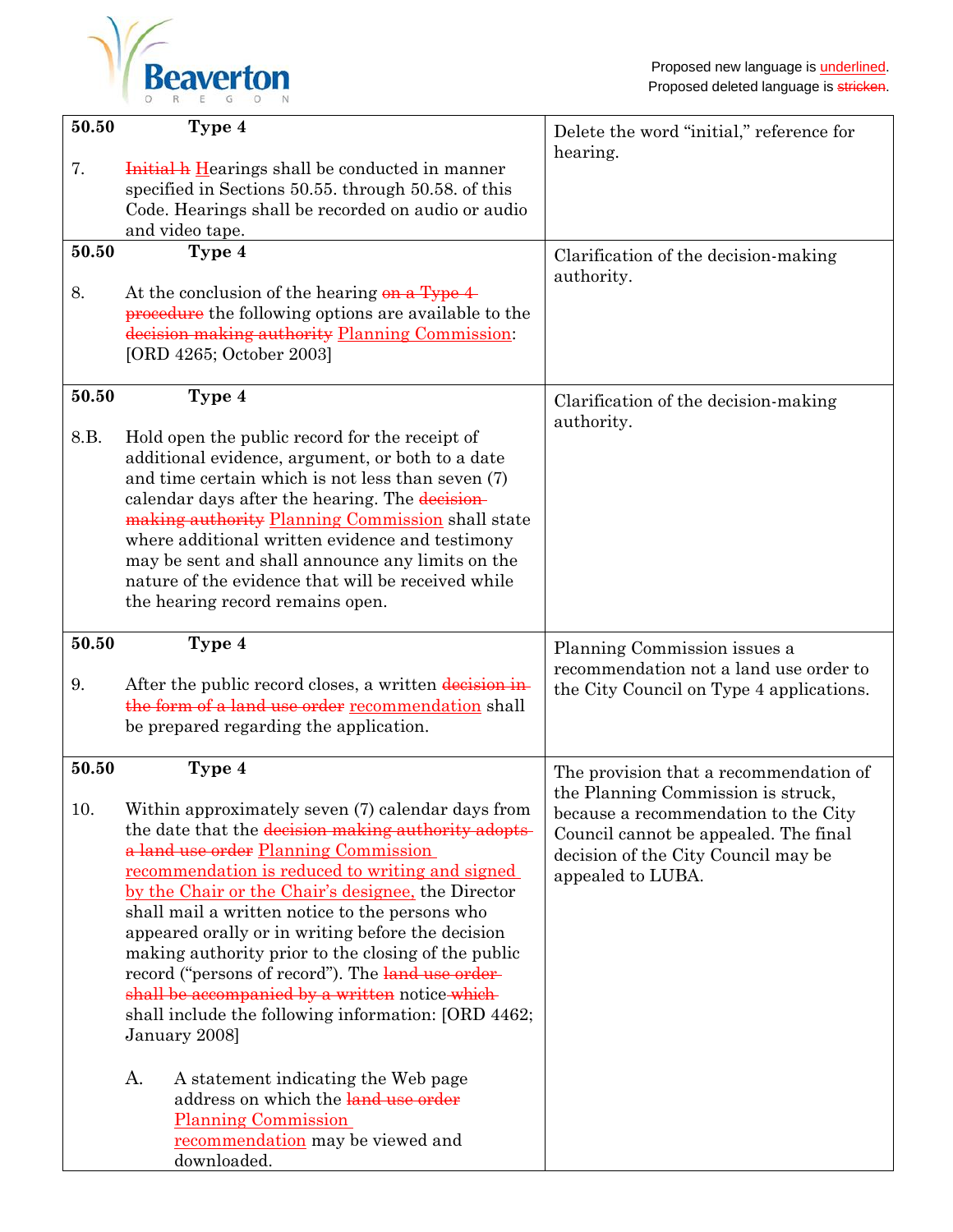

| 50.50       | Type 4                                                                                                                                                                                                                                                                                                                                                                                                                                                                                                                                                                                                        | Delete the word "initial," reference for<br>hearing.                                                                                                                            |
|-------------|---------------------------------------------------------------------------------------------------------------------------------------------------------------------------------------------------------------------------------------------------------------------------------------------------------------------------------------------------------------------------------------------------------------------------------------------------------------------------------------------------------------------------------------------------------------------------------------------------------------|---------------------------------------------------------------------------------------------------------------------------------------------------------------------------------|
| 7.          | Initial h Hearings shall be conducted in manner<br>specified in Sections 50.55. through 50.58. of this<br>Code. Hearings shall be recorded on audio or audio                                                                                                                                                                                                                                                                                                                                                                                                                                                  |                                                                                                                                                                                 |
|             | and video tape.                                                                                                                                                                                                                                                                                                                                                                                                                                                                                                                                                                                               |                                                                                                                                                                                 |
| 50.50       | Type 4                                                                                                                                                                                                                                                                                                                                                                                                                                                                                                                                                                                                        | Clarification of the decision-making<br>authority.                                                                                                                              |
| 8.          | At the conclusion of the hearing on a Type 4<br>procedure the following options are available to the<br>decision making authority Planning Commission:<br>[ORD 4265; October 2003]                                                                                                                                                                                                                                                                                                                                                                                                                            |                                                                                                                                                                                 |
| 50.50       | Type 4                                                                                                                                                                                                                                                                                                                                                                                                                                                                                                                                                                                                        | Clarification of the decision-making                                                                                                                                            |
| 8.B.        | Hold open the public record for the receipt of<br>additional evidence, argument, or both to a date<br>and time certain which is not less than seven (7)<br>calendar days after the hearing. The decision-<br>making authority Planning Commission shall state<br>where additional written evidence and testimony<br>may be sent and shall announce any limits on the<br>nature of the evidence that will be received while<br>the hearing record remains open.                                                                                                                                                | authority.                                                                                                                                                                      |
| 50.50<br>9. | Type 4<br>After the public record closes, a written decision in-<br>the form of a land use order recommendation shall<br>be prepared regarding the application.                                                                                                                                                                                                                                                                                                                                                                                                                                               | Planning Commission issues a<br>recommendation not a land use order to<br>the City Council on Type 4 applications.                                                              |
| 50.50       | Type 4                                                                                                                                                                                                                                                                                                                                                                                                                                                                                                                                                                                                        | The provision that a recommendation of                                                                                                                                          |
| 10.         | Within approximately seven (7) calendar days from<br>the date that the decision making authority adopts-<br>a land use order Planning Commission<br><u>recommendation is reduced to writing and signed</u><br>by the Chair or the Chair's designee, the Director<br>shall mail a written notice to the persons who<br>appeared orally or in writing before the decision<br>making authority prior to the closing of the public<br>record ("persons of record"). The land use order-<br>shall be accompanied by a written notice which<br>shall include the following information: [ORD 4462;<br>January 2008] | the Planning Commission is struck,<br>because a recommendation to the City<br>Council cannot be appealed. The final<br>decision of the City Council may be<br>appealed to LUBA. |
|             | Α.<br>A statement indicating the Web page<br>address on which the land use order<br><b>Planning Commission</b><br>recommendation may be viewed and<br>downloaded.                                                                                                                                                                                                                                                                                                                                                                                                                                             |                                                                                                                                                                                 |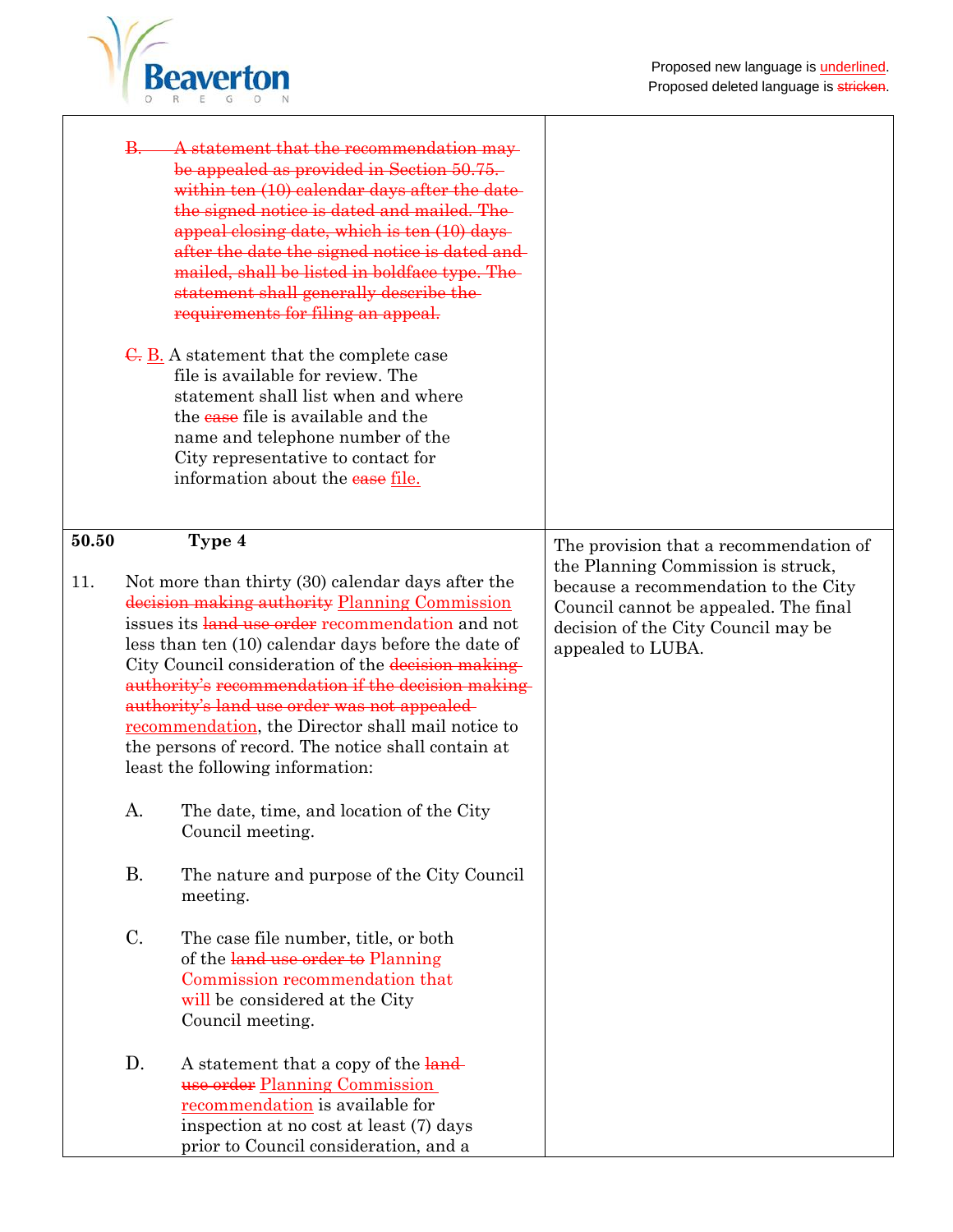٦



|       | <del>B.</del> | A statement that the recommendation may<br>be appealed as provided in Section 50.75.<br>within ten (10) calendar days after the date-<br>the signed notice is dated and mailed. The<br>appeal closing date, which is ten (10) days-<br>after the date the signed notice is dated and<br>mailed, shall be listed in boldface type. The<br>statement shall generally describe the-<br>requirements for filing an appeal.<br>$\overline{G}$ . $\underline{B}$ . A statement that the complete case<br>file is available for review. The<br>statement shall list when and where<br>the ease file is available and the<br>name and telephone number of the<br>City representative to contact for<br>information about the ease file. |                                                                                                                                                                                 |
|-------|---------------|---------------------------------------------------------------------------------------------------------------------------------------------------------------------------------------------------------------------------------------------------------------------------------------------------------------------------------------------------------------------------------------------------------------------------------------------------------------------------------------------------------------------------------------------------------------------------------------------------------------------------------------------------------------------------------------------------------------------------------|---------------------------------------------------------------------------------------------------------------------------------------------------------------------------------|
| 50.50 |               | Type 4                                                                                                                                                                                                                                                                                                                                                                                                                                                                                                                                                                                                                                                                                                                          | The provision that a recommendation of                                                                                                                                          |
| 11.   |               | Not more than thirty (30) calendar days after the<br>decision making authority Planning Commission<br>issues its land use order recommendation and not<br>less than ten (10) calendar days before the date of<br>City Council consideration of the decision making-<br>authority's recommendation if the decision making-<br>authority's land use order was not appealed-<br>recommendation, the Director shall mail notice to<br>the persons of record. The notice shall contain at<br>least the following information:                                                                                                                                                                                                        | the Planning Commission is struck,<br>because a recommendation to the City<br>Council cannot be appealed. The final<br>decision of the City Council may be<br>appealed to LUBA. |
|       | A.            | The date, time, and location of the City<br>Council meeting.                                                                                                                                                                                                                                                                                                                                                                                                                                                                                                                                                                                                                                                                    |                                                                                                                                                                                 |
|       | <b>B.</b>     | The nature and purpose of the City Council<br>meeting.                                                                                                                                                                                                                                                                                                                                                                                                                                                                                                                                                                                                                                                                          |                                                                                                                                                                                 |
|       | C.            | The case file number, title, or both<br>of the land use order to Planning<br>Commission recommendation that<br>will be considered at the City<br>Council meeting.                                                                                                                                                                                                                                                                                                                                                                                                                                                                                                                                                               |                                                                                                                                                                                 |
|       | D.            | A statement that a copy of the land-<br>use order Planning Commission<br>recommendation is available for<br>inspection at no cost at least (7) days<br>prior to Council consideration, and a                                                                                                                                                                                                                                                                                                                                                                                                                                                                                                                                    |                                                                                                                                                                                 |

Τ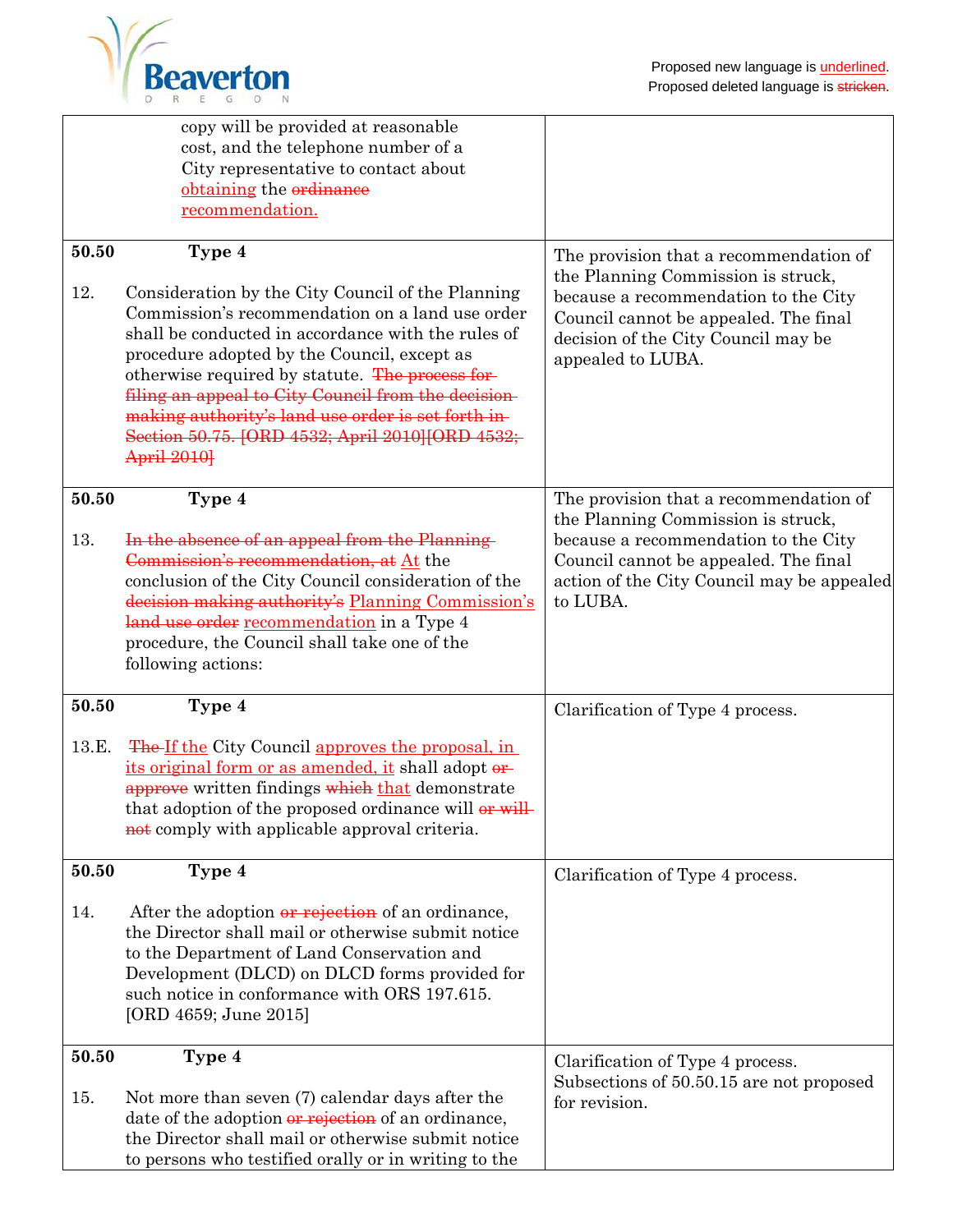

|                | copy will be provided at reasonable<br>cost, and the telephone number of a<br>City representative to contact about<br>obtaining the ordinance<br>recommendation.                                                                                                                                                                                                                                                                                             |                                                                                                                                                                                                                           |
|----------------|--------------------------------------------------------------------------------------------------------------------------------------------------------------------------------------------------------------------------------------------------------------------------------------------------------------------------------------------------------------------------------------------------------------------------------------------------------------|---------------------------------------------------------------------------------------------------------------------------------------------------------------------------------------------------------------------------|
| 50.50<br>12.   | Type 4<br>Consideration by the City Council of the Planning<br>Commission's recommendation on a land use order<br>shall be conducted in accordance with the rules of<br>procedure adopted by the Council, except as<br>otherwise required by statute. The process for-<br>filing an appeal to City Council from the decision-<br>making authority's land use order is set forth in-<br>Section 50.75. [ORD 4532; April 2010][ORD 4532;<br><b>April 2010]</b> | The provision that a recommendation of<br>the Planning Commission is struck,<br>because a recommendation to the City<br>Council cannot be appealed. The final<br>decision of the City Council may be<br>appealed to LUBA. |
| 50.50<br>13.   | Type 4<br>In the absence of an appeal from the Planning<br>Commission's recommendation, at At the<br>conclusion of the City Council consideration of the<br>decision making authority's Planning Commission's<br>land use order recommendation in a Type 4<br>procedure, the Council shall take one of the<br>following actions:                                                                                                                             | The provision that a recommendation of<br>the Planning Commission is struck,<br>because a recommendation to the City<br>Council cannot be appealed. The final<br>action of the City Council may be appealed<br>to LUBA.   |
| 50.50<br>13.E. | Type 4<br><b>The-If the City Council approves the proposal, in</b><br>its original form or as amended, it shall adopt or<br>approve written findings which that demonstrate<br>that adoption of the proposed ordinance will or will<br>not comply with applicable approval criteria.                                                                                                                                                                         | Clarification of Type 4 process.                                                                                                                                                                                          |
| 50.50<br>14.   | Type 4<br>After the adoption or rejection of an ordinance,<br>the Director shall mail or otherwise submit notice<br>to the Department of Land Conservation and<br>Development (DLCD) on DLCD forms provided for<br>such notice in conformance with ORS 197.615.<br>[ORD 4659; June 2015]                                                                                                                                                                     | Clarification of Type 4 process.                                                                                                                                                                                          |
| 50.50<br>15.   | Type 4<br>Not more than seven (7) calendar days after the<br>date of the adoption or rejection of an ordinance,<br>the Director shall mail or otherwise submit notice<br>to persons who testified orally or in writing to the                                                                                                                                                                                                                                | Clarification of Type 4 process.<br>Subsections of 50.50.15 are not proposed<br>for revision.                                                                                                                             |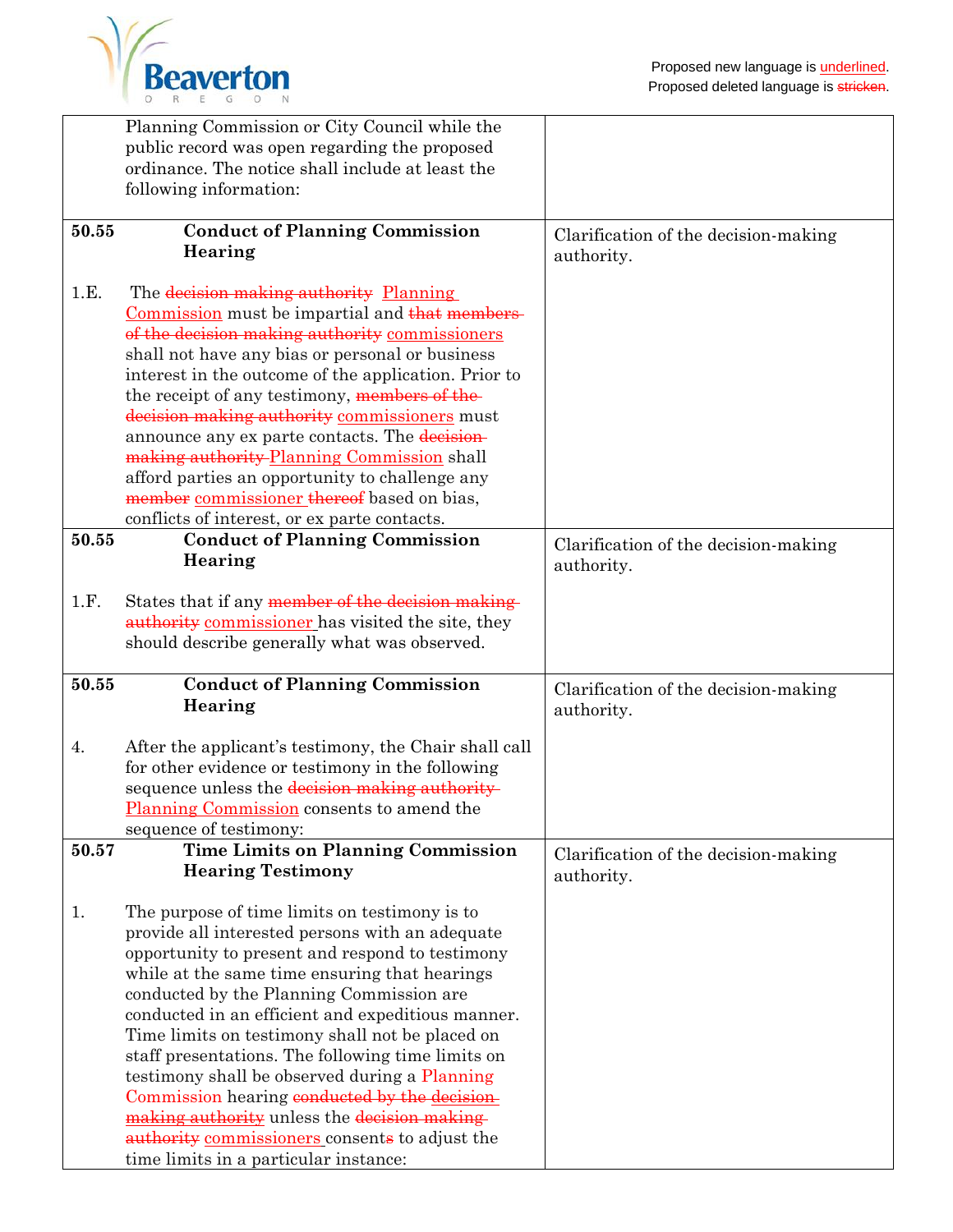

|       | Planning Commission or City Council while the<br>public record was open regarding the proposed     |                                                    |
|-------|----------------------------------------------------------------------------------------------------|----------------------------------------------------|
|       | ordinance. The notice shall include at least the<br>following information:                         |                                                    |
|       |                                                                                                    |                                                    |
| 50.55 | <b>Conduct of Planning Commission</b><br>Hearing                                                   | Clarification of the decision-making               |
|       |                                                                                                    | authority.                                         |
| 1.E.  | The decision making authority Planning                                                             |                                                    |
|       | Commission must be impartial and that members-                                                     |                                                    |
|       | of the decision making authority commissioners<br>shall not have any bias or personal or business  |                                                    |
|       | interest in the outcome of the application. Prior to                                               |                                                    |
|       | the receipt of any testimony, members of the                                                       |                                                    |
|       | decision making authority commissioners must                                                       |                                                    |
|       | announce any ex parte contacts. The decision-                                                      |                                                    |
|       | making authority Planning Commission shall                                                         |                                                    |
|       | afford parties an opportunity to challenge any                                                     |                                                    |
|       | member commissioner thereof based on bias,                                                         |                                                    |
| 50.55 | conflicts of interest, or ex parte contacts.<br><b>Conduct of Planning Commission</b>              |                                                    |
|       | Hearing                                                                                            | Clarification of the decision-making               |
|       |                                                                                                    | authority.                                         |
| 1.F.  | States that if any member of the decision making-                                                  |                                                    |
|       | authority commissioner has visited the site, they                                                  |                                                    |
|       | should describe generally what was observed.                                                       |                                                    |
| 50.55 | <b>Conduct of Planning Commission</b>                                                              | Clarification of the decision-making               |
|       | Hearing                                                                                            | authority.                                         |
| 4.    | After the applicant's testimony, the Chair shall call                                              |                                                    |
|       | for other evidence or testimony in the following                                                   |                                                    |
|       | sequence unless the decision making authority                                                      |                                                    |
|       | <b>Planning Commission</b> consents to amend the                                                   |                                                    |
| 50.57 | sequence of testimony:<br><b>Time Limits on Planning Commission</b>                                |                                                    |
|       | <b>Hearing Testimony</b>                                                                           | Clarification of the decision-making<br>authority. |
|       |                                                                                                    |                                                    |
| 1.    |                                                                                                    |                                                    |
|       | The purpose of time limits on testimony is to                                                      |                                                    |
|       | provide all interested persons with an adequate                                                    |                                                    |
|       | opportunity to present and respond to testimony                                                    |                                                    |
|       | while at the same time ensuring that hearings                                                      |                                                    |
|       | conducted by the Planning Commission are                                                           |                                                    |
|       | conducted in an efficient and expeditious manner.                                                  |                                                    |
|       | Time limits on testimony shall not be placed on                                                    |                                                    |
|       | staff presentations. The following time limits on<br>testimony shall be observed during a Planning |                                                    |
|       | Commission hearing conducted by the decision                                                       |                                                    |
|       | making authority unless the decision making-                                                       |                                                    |
|       | authority commissioners consents to adjust the                                                     |                                                    |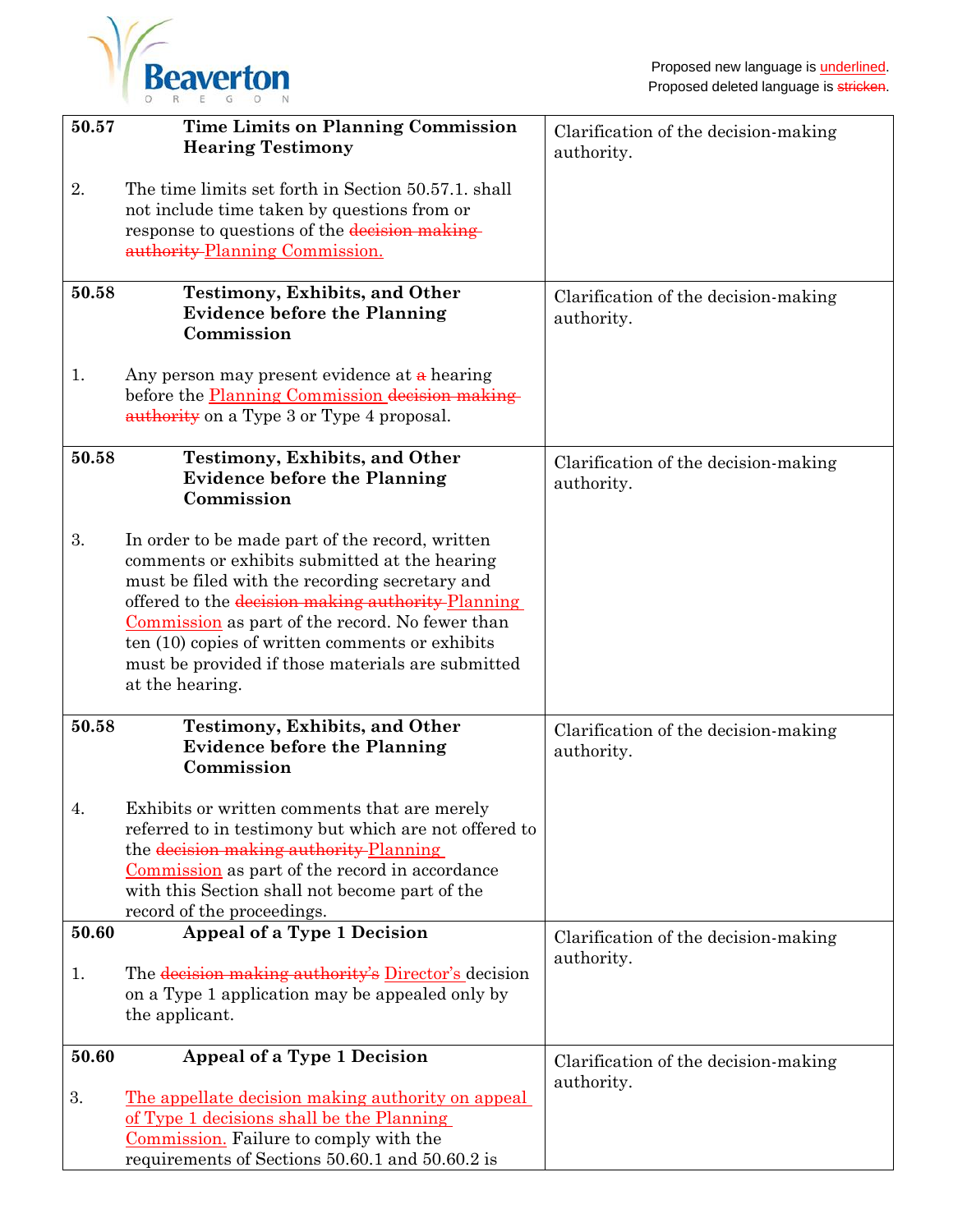

| 50.57 | <b>Time Limits on Planning Commission</b><br><b>Hearing Testimony</b>                                                                                                                                                                                                                                                                                                                 | Clarification of the decision-making<br>authority. |
|-------|---------------------------------------------------------------------------------------------------------------------------------------------------------------------------------------------------------------------------------------------------------------------------------------------------------------------------------------------------------------------------------------|----------------------------------------------------|
| 2.    | The time limits set forth in Section 50.57.1, shall<br>not include time taken by questions from or<br>response to questions of the decision making-<br>authority-Planning Commission.                                                                                                                                                                                                 |                                                    |
| 50.58 | <b>Testimony, Exhibits, and Other</b><br><b>Evidence before the Planning</b><br>Commission                                                                                                                                                                                                                                                                                            | Clarification of the decision-making<br>authority. |
| 1.    | Any person may present evidence at $\alpha$ hearing<br>before the <b>Planning Commission decision making</b><br>authority on a Type 3 or Type 4 proposal.                                                                                                                                                                                                                             |                                                    |
| 50.58 | <b>Testimony, Exhibits, and Other</b><br><b>Evidence before the Planning</b><br>Commission                                                                                                                                                                                                                                                                                            | Clarification of the decision-making<br>authority. |
| 3.    | In order to be made part of the record, written<br>comments or exhibits submitted at the hearing<br>must be filed with the recording secretary and<br>offered to the decision making authority Planning<br>Commission as part of the record. No fewer than<br>ten (10) copies of written comments or exhibits<br>must be provided if those materials are submitted<br>at the hearing. |                                                    |
| 50.58 | <b>Testimony, Exhibits, and Other</b><br><b>Evidence before the Planning</b><br>Commission                                                                                                                                                                                                                                                                                            | Clarification of the decision-making<br>authority. |
| 4     | Exhibits or written comments that are merely<br>referred to in testimony but which are not offered to<br>the decision making authority Planning<br>Commission as part of the record in accordance<br>with this Section shall not become part of the<br>record of the proceedings.                                                                                                     |                                                    |
| 50.60 | Appeal of a Type 1 Decision                                                                                                                                                                                                                                                                                                                                                           | Clarification of the decision-making<br>authority. |
| 1.    | The decision making authority's Director's decision<br>on a Type 1 application may be appealed only by<br>the applicant.                                                                                                                                                                                                                                                              |                                                    |
| 50.60 | Appeal of a Type 1 Decision                                                                                                                                                                                                                                                                                                                                                           | Clarification of the decision-making<br>authority. |
| 3.    | The appellate decision making authority on appeal<br>of Type 1 decisions shall be the Planning<br>Commission. Failure to comply with the<br>requirements of Sections 50.60.1 and 50.60.2 is                                                                                                                                                                                           |                                                    |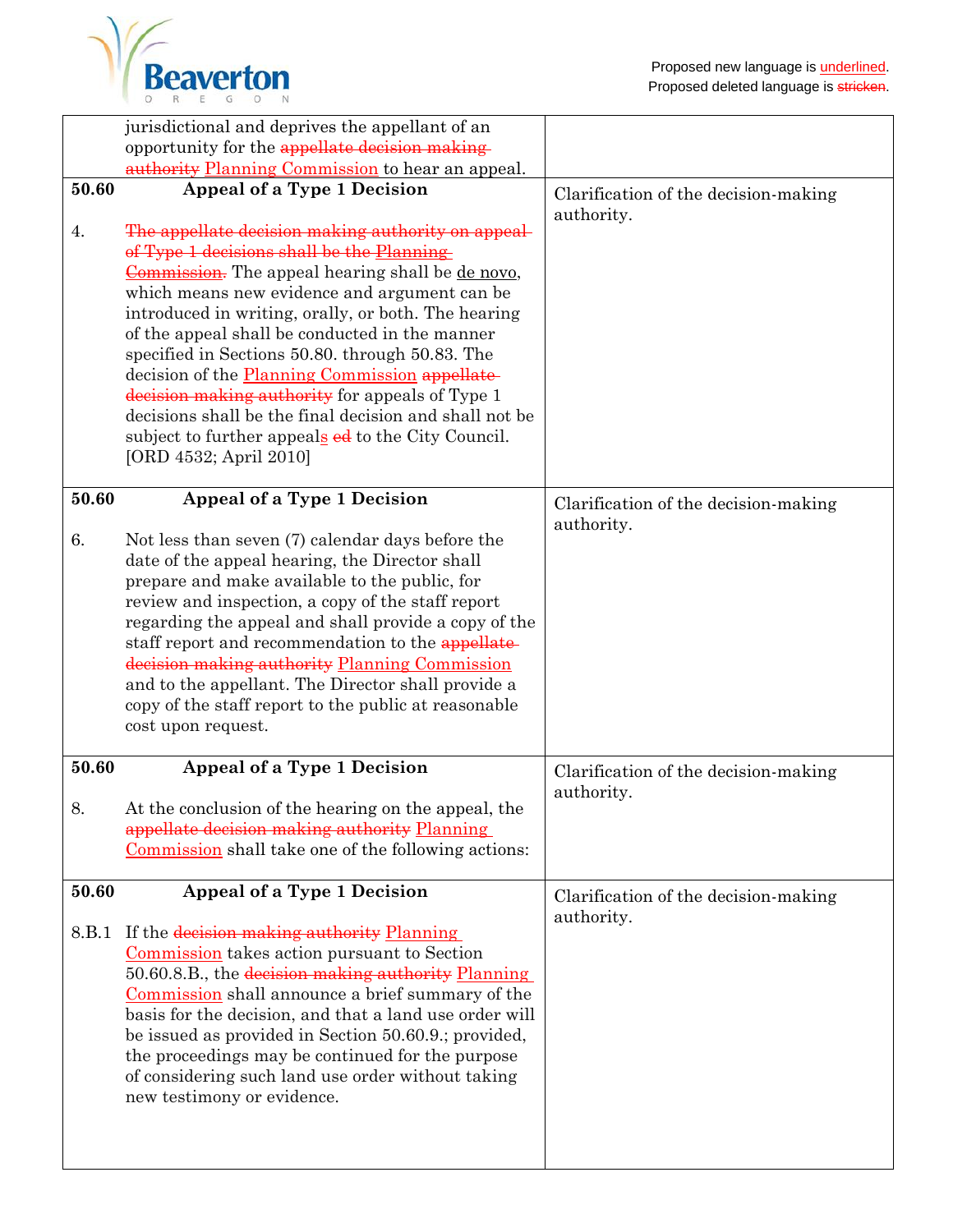

|       | jurisdictional and deprives the appellant of an                                                  |                                      |
|-------|--------------------------------------------------------------------------------------------------|--------------------------------------|
|       | opportunity for the appellate decision making                                                    |                                      |
|       | authority Planning Commission to hear an appeal.                                                 |                                      |
| 50.60 | Appeal of a Type 1 Decision                                                                      | Clarification of the decision-making |
|       |                                                                                                  | authority.                           |
| 4.    | The appellate decision making authority on appeal-                                               |                                      |
|       | of Type 1 decisions shall be the Planning                                                        |                                      |
|       | Commission. The appeal hearing shall be de novo,                                                 |                                      |
|       | which means new evidence and argument can be                                                     |                                      |
|       | introduced in writing, orally, or both. The hearing                                              |                                      |
|       | of the appeal shall be conducted in the manner                                                   |                                      |
|       | specified in Sections 50.80. through 50.83. The                                                  |                                      |
|       | decision of the Planning Commission appellate<br>decision making authority for appeals of Type 1 |                                      |
|       | decisions shall be the final decision and shall not be                                           |                                      |
|       | subject to further appeals ed to the City Council.                                               |                                      |
|       | [ORD 4532; April 2010]                                                                           |                                      |
|       |                                                                                                  |                                      |
| 50.60 | Appeal of a Type 1 Decision                                                                      | Clarification of the decision-making |
|       |                                                                                                  | authority.                           |
| 6.    | Not less than seven (7) calendar days before the                                                 |                                      |
|       | date of the appeal hearing, the Director shall                                                   |                                      |
|       | prepare and make available to the public, for                                                    |                                      |
|       | review and inspection, a copy of the staff report                                                |                                      |
|       | regarding the appeal and shall provide a copy of the                                             |                                      |
|       | staff report and recommendation to the appellate-                                                |                                      |
|       | decision making authority Planning Commission                                                    |                                      |
|       | and to the appellant. The Director shall provide a                                               |                                      |
|       | copy of the staff report to the public at reasonable                                             |                                      |
|       | cost upon request.                                                                               |                                      |
| 50.60 |                                                                                                  |                                      |
|       | Appeal of a Type 1 Decision                                                                      | Clarification of the decision-making |
| 8.    | At the conclusion of the hearing on the appeal, the                                              | authority.                           |
|       | appellate decision making authority Planning                                                     |                                      |
|       | Commission shall take one of the following actions:                                              |                                      |
|       |                                                                                                  |                                      |
| 50.60 | Appeal of a Type 1 Decision                                                                      | Clarification of the decision-making |
|       |                                                                                                  | authority.                           |
| 8.B.1 | If the decision making authority Planning                                                        |                                      |
|       | Commission takes action pursuant to Section                                                      |                                      |
|       | 50.60.8.B., the decision making authority Planning                                               |                                      |
|       | Commission shall announce a brief summary of the                                                 |                                      |
|       | basis for the decision, and that a land use order will                                           |                                      |
|       | be issued as provided in Section 50.60.9.; provided,                                             |                                      |
|       | the proceedings may be continued for the purpose                                                 |                                      |
|       | of considering such land use order without taking                                                |                                      |
|       | new testimony or evidence.                                                                       |                                      |
|       |                                                                                                  |                                      |
|       |                                                                                                  |                                      |
|       |                                                                                                  |                                      |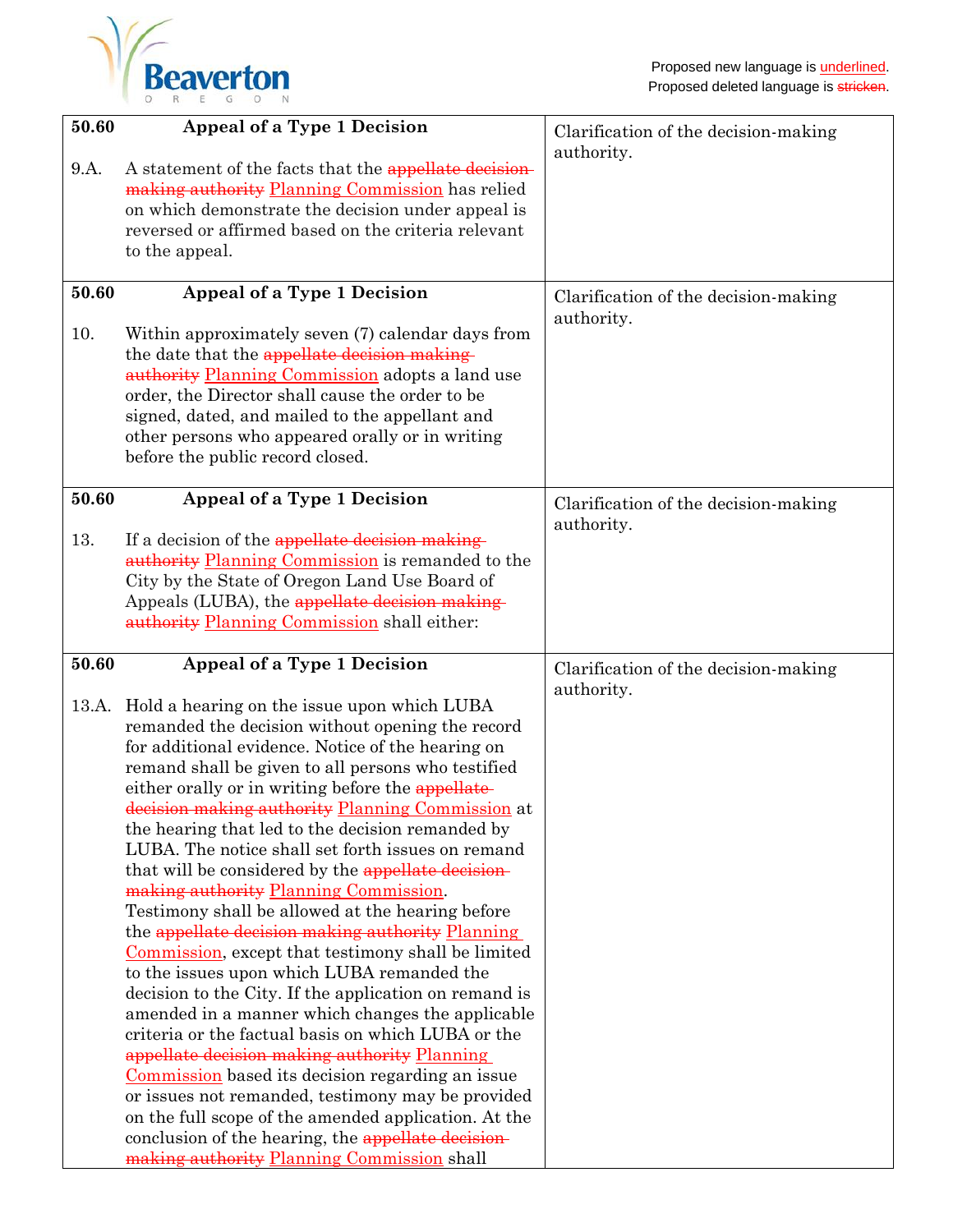

| Clarification of the decision-making |
|--------------------------------------|
| Clarification of the decision-making |
| Clarification of the decision-making |
|                                      |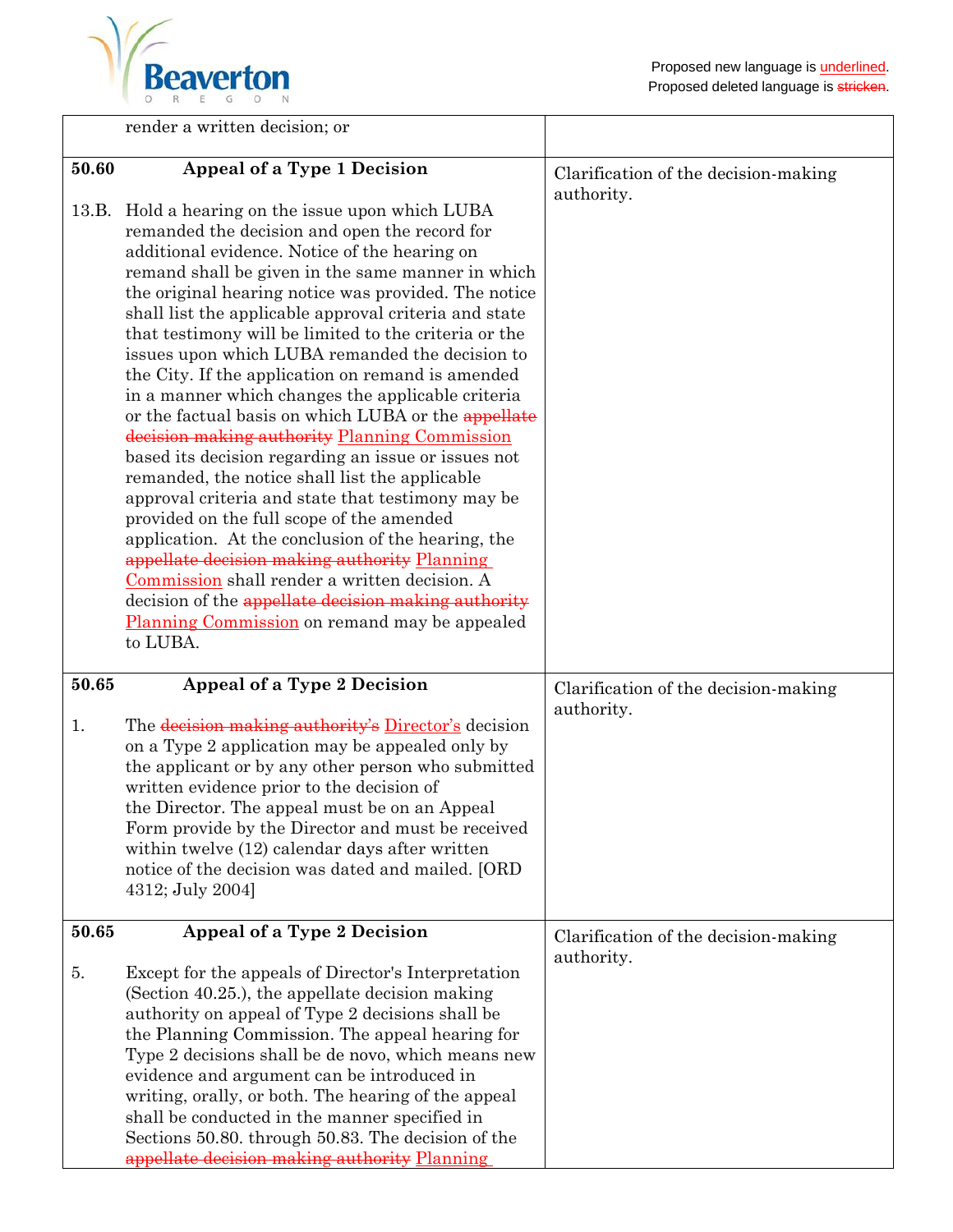

|             | render a written decision; or                                                                                                                                                                                                                                                                                                                                                                                                                                                                                                                                                                                                                                                                                                                                                                                                                                                                                                                                                                                                                                                                                                                                                |                                                    |
|-------------|------------------------------------------------------------------------------------------------------------------------------------------------------------------------------------------------------------------------------------------------------------------------------------------------------------------------------------------------------------------------------------------------------------------------------------------------------------------------------------------------------------------------------------------------------------------------------------------------------------------------------------------------------------------------------------------------------------------------------------------------------------------------------------------------------------------------------------------------------------------------------------------------------------------------------------------------------------------------------------------------------------------------------------------------------------------------------------------------------------------------------------------------------------------------------|----------------------------------------------------|
|             |                                                                                                                                                                                                                                                                                                                                                                                                                                                                                                                                                                                                                                                                                                                                                                                                                                                                                                                                                                                                                                                                                                                                                                              |                                                    |
| 50.60       | Appeal of a Type 1 Decision<br>13.B. Hold a hearing on the issue upon which LUBA<br>remanded the decision and open the record for<br>additional evidence. Notice of the hearing on<br>remand shall be given in the same manner in which<br>the original hearing notice was provided. The notice<br>shall list the applicable approval criteria and state<br>that testimony will be limited to the criteria or the<br>issues upon which LUBA remanded the decision to<br>the City. If the application on remand is amended<br>in a manner which changes the applicable criteria<br>or the factual basis on which LUBA or the appellate<br>decision making authority Planning Commission<br>based its decision regarding an issue or issues not<br>remanded, the notice shall list the applicable<br>approval criteria and state that testimony may be<br>provided on the full scope of the amended<br>application. At the conclusion of the hearing, the<br>appellate decision making authority Planning<br>Commission shall render a written decision. A<br>decision of the appellate decision making authority<br>Planning Commission on remand may be appealed<br>to LUBA. | Clarification of the decision-making<br>authority. |
| 50.65<br>1. | Appeal of a Type 2 Decision<br>The decision making authority's Director's decision<br>on a Type 2 application may be appealed only by<br>the applicant or by any other person who submitted<br>written evidence prior to the decision of<br>the Director. The appeal must be on an Appeal<br>Form provide by the Director and must be received<br>within twelve (12) calendar days after written<br>notice of the decision was dated and mailed. [ORD<br>4312; July 2004]                                                                                                                                                                                                                                                                                                                                                                                                                                                                                                                                                                                                                                                                                                    | Clarification of the decision-making<br>authority. |
| 50.65       | Appeal of a Type 2 Decision                                                                                                                                                                                                                                                                                                                                                                                                                                                                                                                                                                                                                                                                                                                                                                                                                                                                                                                                                                                                                                                                                                                                                  | Clarification of the decision-making               |
| 5.          | Except for the appeals of Director's Interpretation<br>(Section 40.25.), the appellate decision making<br>authority on appeal of Type 2 decisions shall be<br>the Planning Commission. The appeal hearing for<br>Type 2 decisions shall be de novo, which means new<br>evidence and argument can be introduced in<br>writing, orally, or both. The hearing of the appeal<br>shall be conducted in the manner specified in<br>Sections 50.80. through 50.83. The decision of the<br>appellate decision making authority Planning                                                                                                                                                                                                                                                                                                                                                                                                                                                                                                                                                                                                                                              | authority.                                         |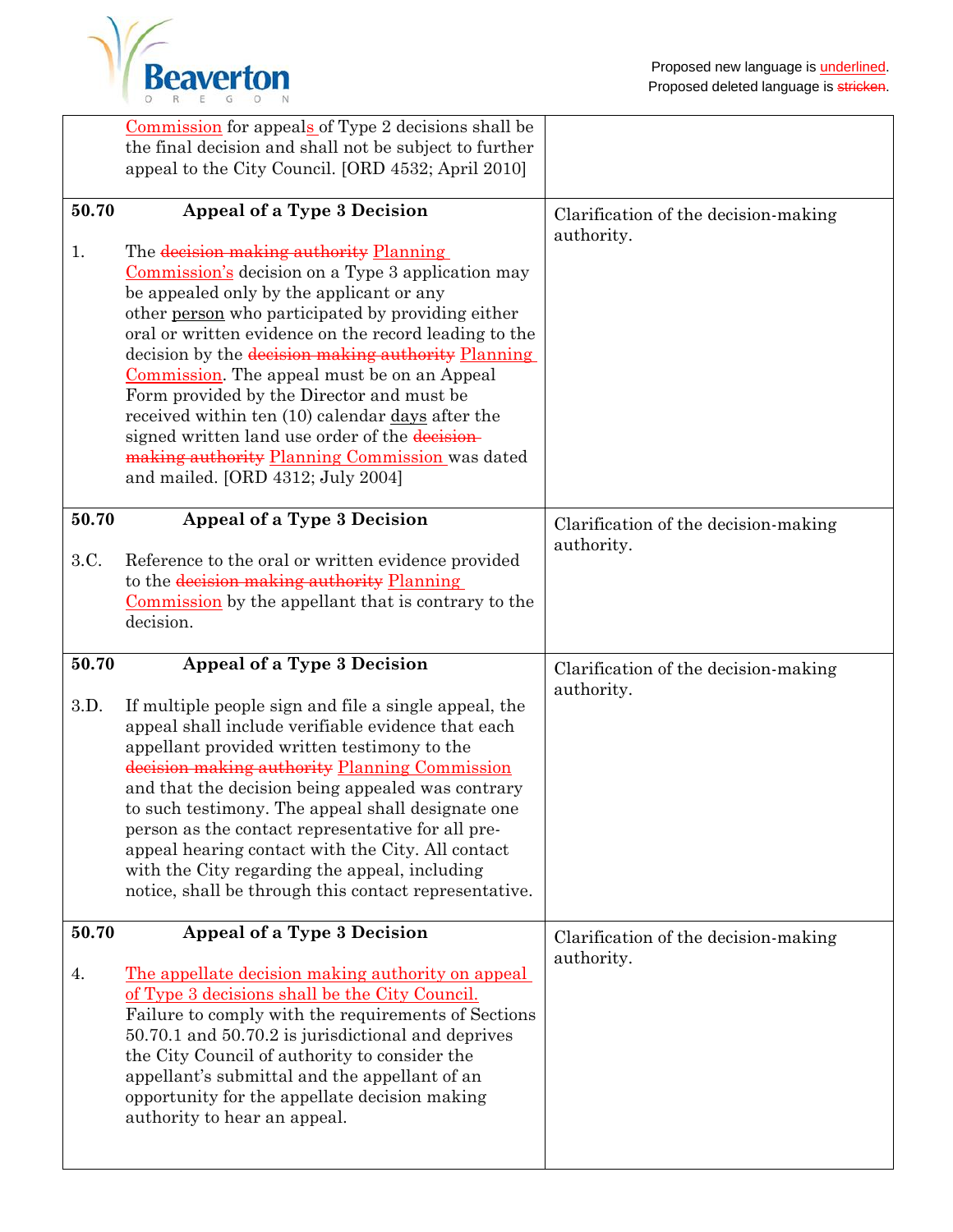

|               | Commission for appeals of Type 2 decisions shall be<br>the final decision and shall not be subject to further<br>appeal to the City Council. [ORD 4532; April 2010]                                                                                                                                                                                                                                                                                                                                                                                                                                  |                                                    |
|---------------|------------------------------------------------------------------------------------------------------------------------------------------------------------------------------------------------------------------------------------------------------------------------------------------------------------------------------------------------------------------------------------------------------------------------------------------------------------------------------------------------------------------------------------------------------------------------------------------------------|----------------------------------------------------|
|               |                                                                                                                                                                                                                                                                                                                                                                                                                                                                                                                                                                                                      |                                                    |
| 50.70         | Appeal of a Type 3 Decision                                                                                                                                                                                                                                                                                                                                                                                                                                                                                                                                                                          | Clarification of the decision-making               |
| 1.            | The decision making authority Planning<br>Commission's decision on a Type 3 application may<br>be appealed only by the applicant or any<br>other person who participated by providing either<br>oral or written evidence on the record leading to the<br>decision by the decision making authority Planning<br>Commission. The appeal must be on an Appeal<br>Form provided by the Director and must be<br>received within ten (10) calendar days after the<br>signed written land use order of the decision-<br>making authority Planning Commission was dated<br>and mailed. [ORD 4312; July 2004] | authority.                                         |
| 50.70<br>3.C. | Appeal of a Type 3 Decision<br>Reference to the oral or written evidence provided<br>to the decision making authority Planning<br>Commission by the appellant that is contrary to the<br>decision.                                                                                                                                                                                                                                                                                                                                                                                                   | Clarification of the decision-making<br>authority. |
|               |                                                                                                                                                                                                                                                                                                                                                                                                                                                                                                                                                                                                      |                                                    |
|               |                                                                                                                                                                                                                                                                                                                                                                                                                                                                                                                                                                                                      |                                                    |
| 50.70<br>3.D. | Appeal of a Type 3 Decision<br>If multiple people sign and file a single appeal, the<br>appeal shall include verifiable evidence that each<br>appellant provided written testimony to the<br>decision making authority Planning Commission<br>and that the decision being appealed was contrary<br>to such testimony. The appeal shall designate one<br>person as the contact representative for all pre-<br>appeal hearing contact with the City. All contact<br>with the City regarding the appeal, including<br>notice, shall be through this contact representative.                             | Clarification of the decision-making<br>authority. |
| 50.70         | Appeal of a Type 3 Decision                                                                                                                                                                                                                                                                                                                                                                                                                                                                                                                                                                          | Clarification of the decision-making<br>authority. |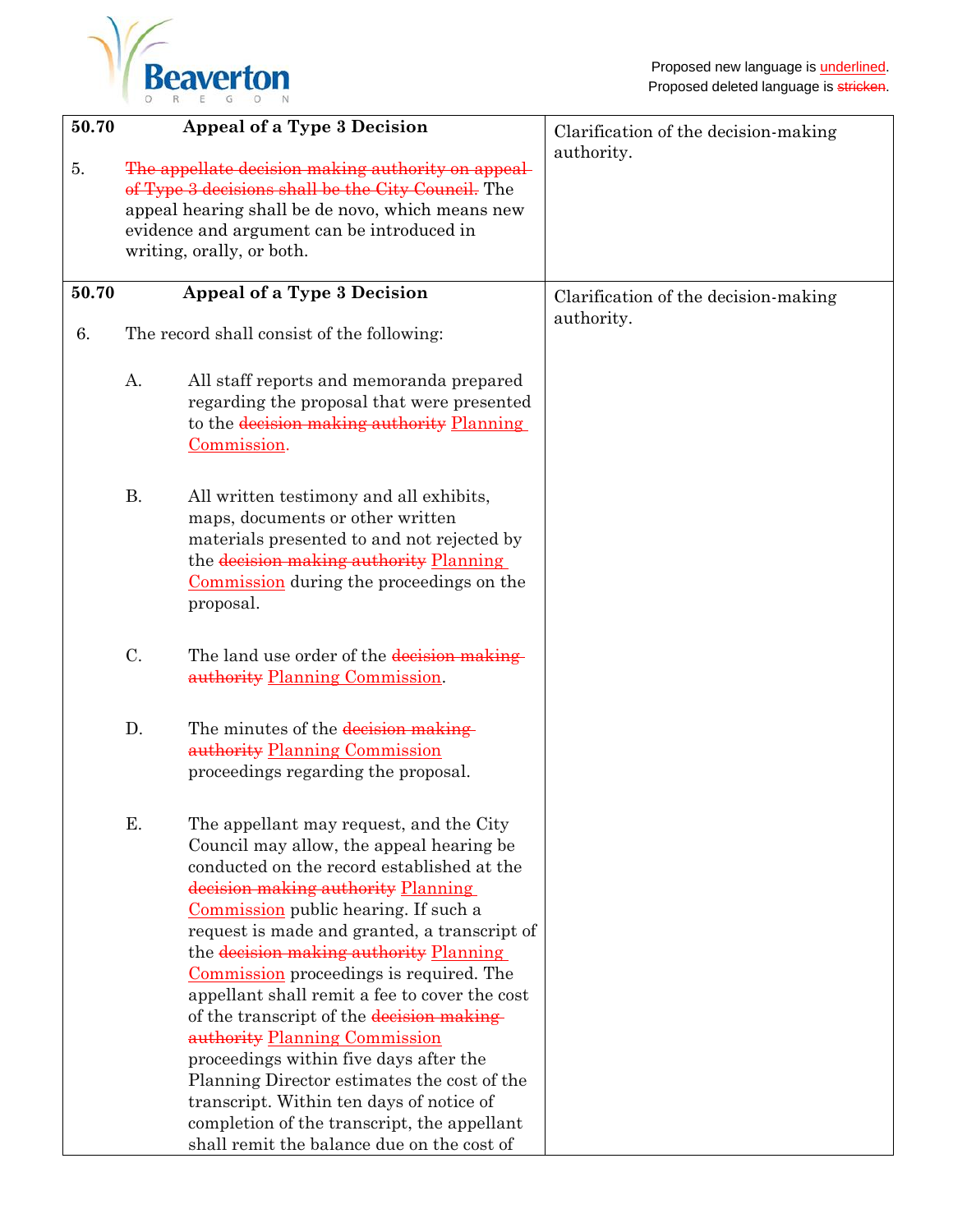

| 50.70 |                                                                                                                                                                                                                                         | Appeal of a Type 3 Decision                                                                                                                                                                                                                                                                                                                                                                                                                                                                                                                                                                                                                                                                                           | Clarification of the decision-making |
|-------|-----------------------------------------------------------------------------------------------------------------------------------------------------------------------------------------------------------------------------------------|-----------------------------------------------------------------------------------------------------------------------------------------------------------------------------------------------------------------------------------------------------------------------------------------------------------------------------------------------------------------------------------------------------------------------------------------------------------------------------------------------------------------------------------------------------------------------------------------------------------------------------------------------------------------------------------------------------------------------|--------------------------------------|
| 5.    | The appellate decision making authority on appeal-<br>of Type 3 decisions shall be the City Council. The<br>appeal hearing shall be de novo, which means new<br>evidence and argument can be introduced in<br>writing, orally, or both. |                                                                                                                                                                                                                                                                                                                                                                                                                                                                                                                                                                                                                                                                                                                       | authority.                           |
| 50.70 |                                                                                                                                                                                                                                         | Appeal of a Type 3 Decision                                                                                                                                                                                                                                                                                                                                                                                                                                                                                                                                                                                                                                                                                           | Clarification of the decision-making |
| 6.    |                                                                                                                                                                                                                                         | The record shall consist of the following:                                                                                                                                                                                                                                                                                                                                                                                                                                                                                                                                                                                                                                                                            | authority.                           |
|       | A.                                                                                                                                                                                                                                      | All staff reports and memoranda prepared<br>regarding the proposal that were presented<br>to the decision making authority Planning<br>Commission.                                                                                                                                                                                                                                                                                                                                                                                                                                                                                                                                                                    |                                      |
|       | <b>B.</b>                                                                                                                                                                                                                               | All written testimony and all exhibits,<br>maps, documents or other written<br>materials presented to and not rejected by<br>the decision making authority Planning<br>Commission during the proceedings on the<br>proposal.                                                                                                                                                                                                                                                                                                                                                                                                                                                                                          |                                      |
|       | C.                                                                                                                                                                                                                                      | The land use order of the decision making<br>authority Planning Commission.                                                                                                                                                                                                                                                                                                                                                                                                                                                                                                                                                                                                                                           |                                      |
|       | D.                                                                                                                                                                                                                                      | The minutes of the decision making<br>authority Planning Commission<br>proceedings regarding the proposal.                                                                                                                                                                                                                                                                                                                                                                                                                                                                                                                                                                                                            |                                      |
|       | Ε.                                                                                                                                                                                                                                      | The appellant may request, and the City<br>Council may allow, the appeal hearing be<br>conducted on the record established at the<br>decision making authority Planning<br>Commission public hearing. If such a<br>request is made and granted, a transcript of<br>the decision making authority Planning<br>Commission proceedings is required. The<br>appellant shall remit a fee to cover the cost<br>of the transcript of the decision making-<br>authority Planning Commission<br>proceedings within five days after the<br>Planning Director estimates the cost of the<br>transcript. Within ten days of notice of<br>completion of the transcript, the appellant<br>shall remit the balance due on the cost of |                                      |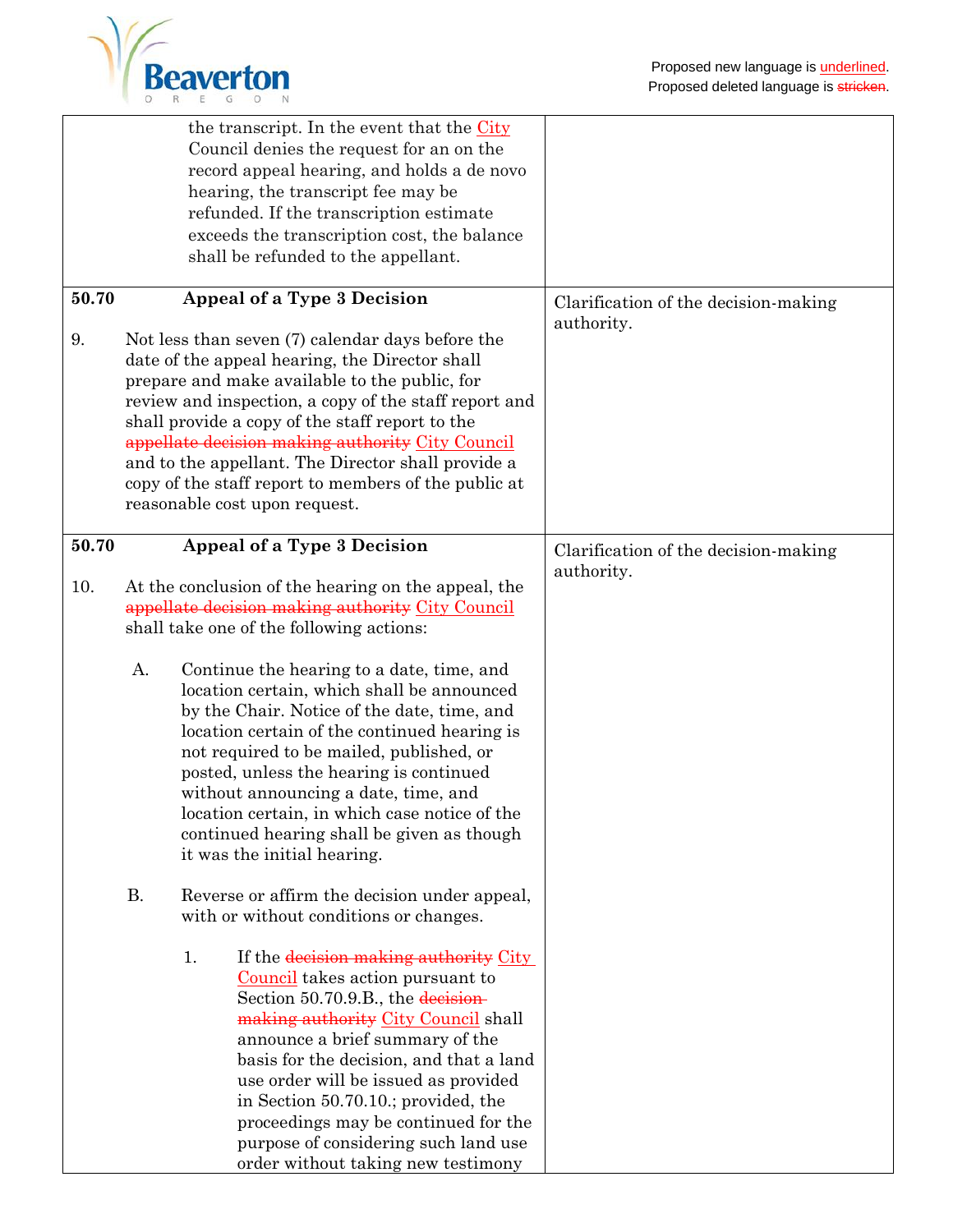|                      | the transcript. In the event that the City<br>Council denies the request for an on the<br>record appeal hearing, and holds a de novo<br>hearing, the transcript fee may be<br>refunded. If the transcription estimate<br>exceeds the transcription cost, the balance<br>shall be refunded to the appellant.                                                                                                                                                                                                                                                                                                      |                                                                                            |
|----------------------|------------------------------------------------------------------------------------------------------------------------------------------------------------------------------------------------------------------------------------------------------------------------------------------------------------------------------------------------------------------------------------------------------------------------------------------------------------------------------------------------------------------------------------------------------------------------------------------------------------------|--------------------------------------------------------------------------------------------|
| 50.70<br>9.<br>50.70 | Appeal of a Type 3 Decision<br>Not less than seven (7) calendar days before the<br>date of the appeal hearing, the Director shall<br>prepare and make available to the public, for<br>review and inspection, a copy of the staff report and<br>shall provide a copy of the staff report to the<br>appellate decision making authority City Council<br>and to the appellant. The Director shall provide a<br>copy of the staff report to members of the public at<br>reasonable cost upon request.<br>Appeal of a Type 3 Decision                                                                                 | Clarification of the decision-making<br>authority.<br>Clarification of the decision-making |
| 10.                  | At the conclusion of the hearing on the appeal, the<br>appellate decision making authority City Council<br>shall take one of the following actions:<br>A.<br>Continue the hearing to a date, time, and<br>location certain, which shall be announced<br>by the Chair. Notice of the date, time, and<br>location certain of the continued hearing is<br>not required to be mailed, published, or<br>posted, unless the hearing is continued<br>without announcing a date, time, and<br>location certain, in which case notice of the<br>continued hearing shall be given as though<br>it was the initial hearing. | authority.                                                                                 |
|                      | <b>B.</b><br>Reverse or affirm the decision under appeal,<br>with or without conditions or changes.<br>If the decision making authority City<br>1.<br>Council takes action pursuant to<br>Section 50.70.9.B., the decision-<br>making authority City Council shall<br>announce a brief summary of the<br>basis for the decision, and that a land<br>use order will be issued as provided<br>in Section 50.70.10.; provided, the<br>proceedings may be continued for the<br>purpose of considering such land use<br>order without taking new testimony                                                            |                                                                                            |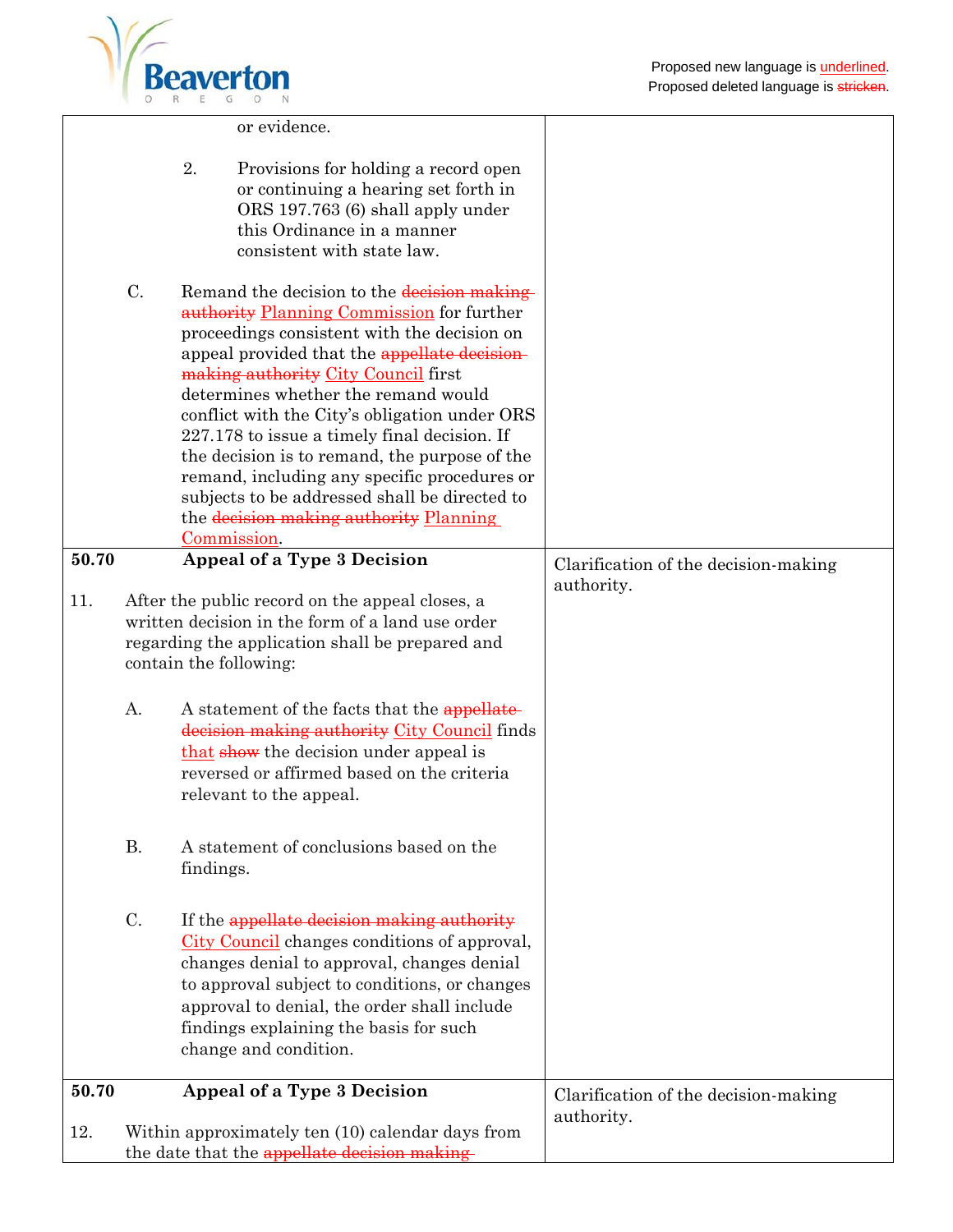

|              |                        | or evidence.                                                                                                                                                                                                                                                                                                                                                                                                                                                                                                                                                                      |                                                    |
|--------------|------------------------|-----------------------------------------------------------------------------------------------------------------------------------------------------------------------------------------------------------------------------------------------------------------------------------------------------------------------------------------------------------------------------------------------------------------------------------------------------------------------------------------------------------------------------------------------------------------------------------|----------------------------------------------------|
|              | 2.                     | Provisions for holding a record open<br>or continuing a hearing set forth in<br>ORS 197.763 (6) shall apply under<br>this Ordinance in a manner<br>consistent with state law.                                                                                                                                                                                                                                                                                                                                                                                                     |                                                    |
|              | C.                     | Remand the decision to the decision making-<br>authority Planning Commission for further<br>proceedings consistent with the decision on<br>appeal provided that the appellate decision-<br>making authority City Council first<br>determines whether the remand would<br>conflict with the City's obligation under ORS<br>227.178 to issue a timely final decision. If<br>the decision is to remand, the purpose of the<br>remand, including any specific procedures or<br>subjects to be addressed shall be directed to<br>the decision making authority Planning<br>Commission. |                                                    |
| 50.70<br>11. |                        | Appeal of a Type 3 Decision<br>After the public record on the appeal closes, a<br>written decision in the form of a land use order                                                                                                                                                                                                                                                                                                                                                                                                                                                | Clarification of the decision-making<br>authority. |
|              | contain the following: | regarding the application shall be prepared and                                                                                                                                                                                                                                                                                                                                                                                                                                                                                                                                   |                                                    |
|              | A.                     | A statement of the facts that the appellate-<br>decision making authority City Council finds<br>that show the decision under appeal is<br>reversed or affirmed based on the criteria<br>relevant to the appeal.                                                                                                                                                                                                                                                                                                                                                                   |                                                    |
|              | <b>B.</b>              | A statement of conclusions based on the<br>findings.                                                                                                                                                                                                                                                                                                                                                                                                                                                                                                                              |                                                    |
|              | $C$ .                  | If the appellate decision making authority<br>City Council changes conditions of approval,<br>changes denial to approval, changes denial<br>to approval subject to conditions, or changes<br>approval to denial, the order shall include<br>findings explaining the basis for such<br>change and condition.                                                                                                                                                                                                                                                                       |                                                    |
| 50.70        |                        | Appeal of a Type 3 Decision                                                                                                                                                                                                                                                                                                                                                                                                                                                                                                                                                       | Clarification of the decision-making<br>authority. |
| 12.          |                        | Within approximately ten (10) calendar days from<br>the date that the appellate decision making-                                                                                                                                                                                                                                                                                                                                                                                                                                                                                  |                                                    |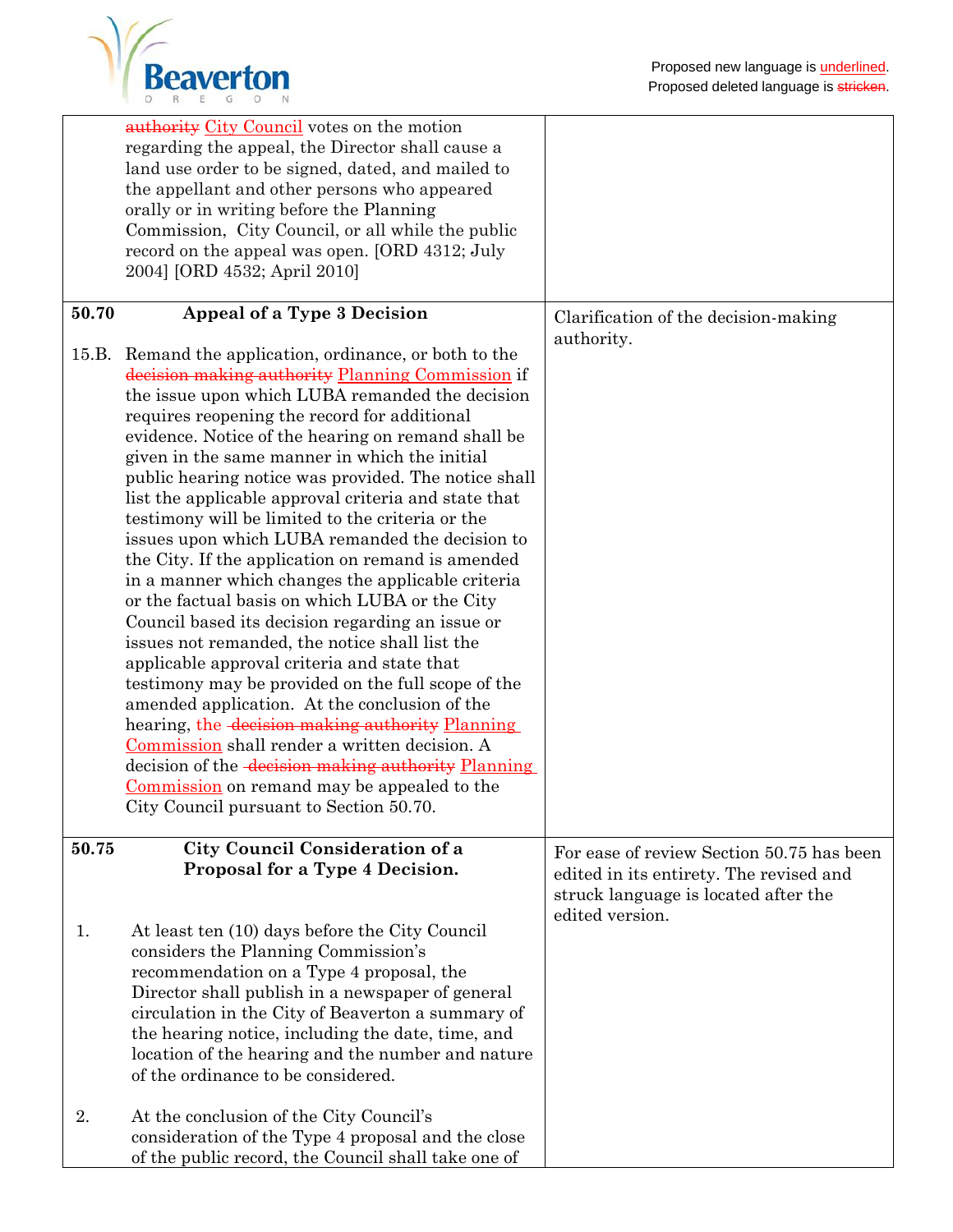

|       | <b>authority</b> City Council votes on the motion<br>regarding the appeal, the Director shall cause a<br>land use order to be signed, dated, and mailed to<br>the appellant and other persons who appeared<br>orally or in writing before the Planning<br>Commission, City Council, or all while the public<br>record on the appeal was open. [ORD 4312; July<br>2004] [ORD 4532; April 2010]                                                                                                                                                                                                                                                                                                                                                                                                                                                                                                                                                                                                                                                                                                                                                                                                                      |                                                                                                                                                 |
|-------|--------------------------------------------------------------------------------------------------------------------------------------------------------------------------------------------------------------------------------------------------------------------------------------------------------------------------------------------------------------------------------------------------------------------------------------------------------------------------------------------------------------------------------------------------------------------------------------------------------------------------------------------------------------------------------------------------------------------------------------------------------------------------------------------------------------------------------------------------------------------------------------------------------------------------------------------------------------------------------------------------------------------------------------------------------------------------------------------------------------------------------------------------------------------------------------------------------------------|-------------------------------------------------------------------------------------------------------------------------------------------------|
| 50.70 | Appeal of a Type 3 Decision                                                                                                                                                                                                                                                                                                                                                                                                                                                                                                                                                                                                                                                                                                                                                                                                                                                                                                                                                                                                                                                                                                                                                                                        | Clarification of the decision-making<br>authority.                                                                                              |
| 15.B. | Remand the application, ordinance, or both to the<br>decision making authority Planning Commission if<br>the issue upon which LUBA remanded the decision<br>requires reopening the record for additional<br>evidence. Notice of the hearing on remand shall be<br>given in the same manner in which the initial<br>public hearing notice was provided. The notice shall<br>list the applicable approval criteria and state that<br>testimony will be limited to the criteria or the<br>issues upon which LUBA remanded the decision to<br>the City. If the application on remand is amended<br>in a manner which changes the applicable criteria<br>or the factual basis on which LUBA or the City<br>Council based its decision regarding an issue or<br>issues not remanded, the notice shall list the<br>applicable approval criteria and state that<br>testimony may be provided on the full scope of the<br>amended application. At the conclusion of the<br>hearing, the decision making authority Planning<br>Commission shall render a written decision. A<br>decision of the decision making authority Planning<br>Commission on remand may be appealed to the<br>City Council pursuant to Section 50.70. |                                                                                                                                                 |
| 50.75 | City Council Consideration of a<br>Proposal for a Type 4 Decision.                                                                                                                                                                                                                                                                                                                                                                                                                                                                                                                                                                                                                                                                                                                                                                                                                                                                                                                                                                                                                                                                                                                                                 | For ease of review Section 50.75 has been<br>edited in its entirety. The revised and<br>struck language is located after the<br>edited version. |
| 1.    | At least ten (10) days before the City Council<br>considers the Planning Commission's<br>recommendation on a Type 4 proposal, the<br>Director shall publish in a newspaper of general<br>circulation in the City of Beaverton a summary of<br>the hearing notice, including the date, time, and<br>location of the hearing and the number and nature<br>of the ordinance to be considered.                                                                                                                                                                                                                                                                                                                                                                                                                                                                                                                                                                                                                                                                                                                                                                                                                         |                                                                                                                                                 |
| 2.    | At the conclusion of the City Council's<br>consideration of the Type 4 proposal and the close<br>of the public record, the Council shall take one of                                                                                                                                                                                                                                                                                                                                                                                                                                                                                                                                                                                                                                                                                                                                                                                                                                                                                                                                                                                                                                                               |                                                                                                                                                 |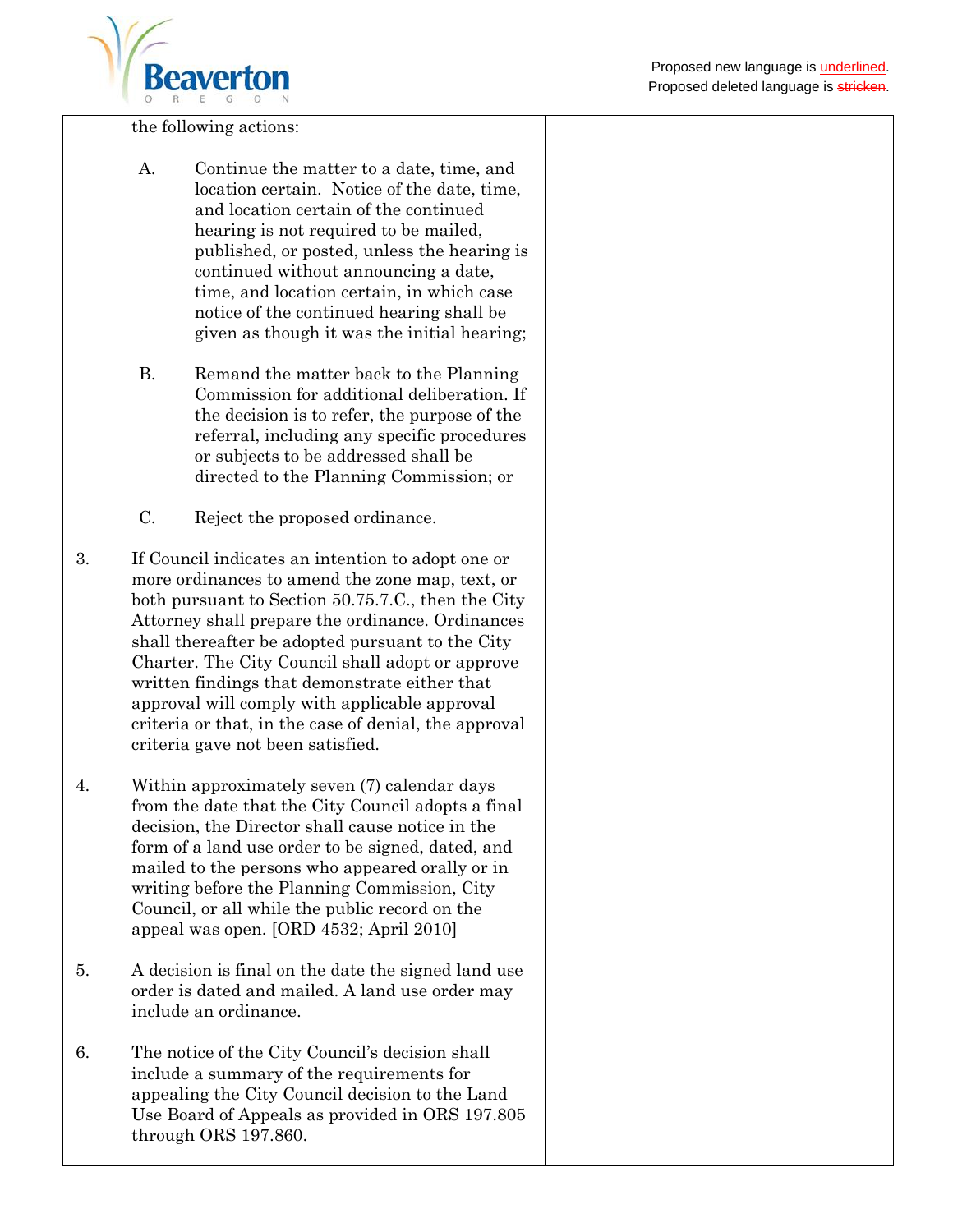

the following actions:

- A. Continue the matter to a date, time, and location certain. Notice of the date, time, and location certain of the continued hearing is not required to be mailed, published, or posted, unless the hearing is continued without announcing a date, time, and location certain, in which case notice of the continued hearing shall be given as though it was the initial hearing;
- B. Remand the matter back to the Planning Commission for additional deliberation. If the decision is to refer, the purpose of the referral, including any specific procedures or subjects to be addressed shall be directed to the Planning Commission; or
- C. Reject the proposed ordinance.
- 3. If Council indicates an intention to adopt one or more ordinances to amend the zone map, text, or both pursuant to Section 50.75.7.C., then the City Attorney shall prepare the ordinance. Ordinances shall thereafter be adopted pursuant to the City Charter. The City Council shall adopt or approve written findings that demonstrate either that approval will comply with applicable approval criteria or that, in the case of denial, the approval criteria gave not been satisfied.
- 4. Within approximately seven (7) calendar days from the date that the City Council adopts a final decision, the Director shall cause notice in the form of a land use order to be signed, dated, and mailed to the persons who appeared orally or in writing before the Planning Commission, City Council, or all while the public record on the appeal was open. [ORD 4532; April 2010]
- 5. A decision is final on the date the signed land use order is dated and mailed. A land use order may include an ordinance.
- 6. The notice of the City Council's decision shall include a summary of the requirements for appealing the City Council decision to the Land Use Board of Appeals as provided in ORS 197.805 through ORS 197.860.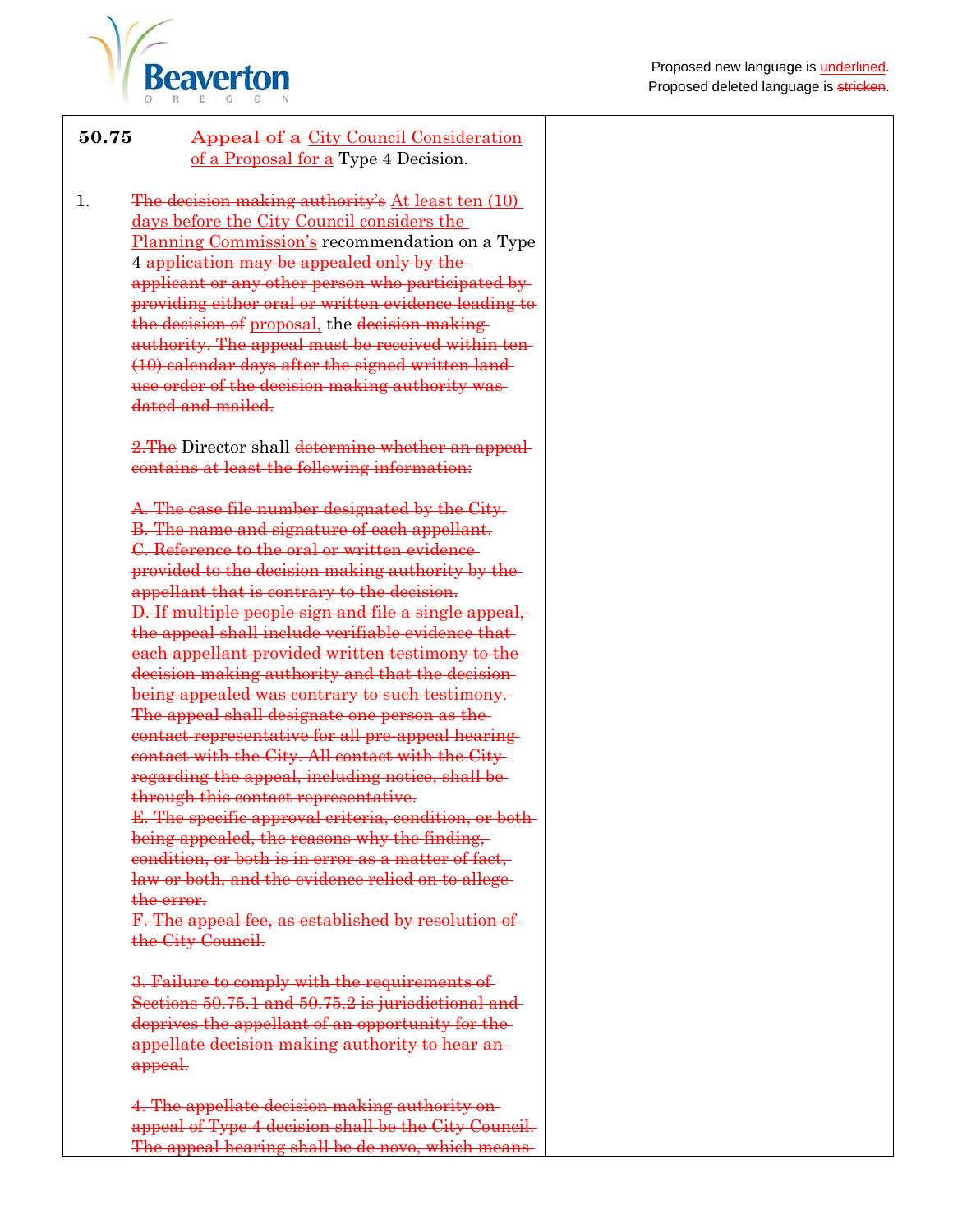

| 50.75 | <b>Appeal of a</b> City Council Consideration |
|-------|-----------------------------------------------|
|       | of a Proposal for a Type 4 Decision.          |

1. The decision making authority's At least ten (10) days before the City Council considers the Planning Commission's recommendation on a Type 4 application may be appealed only by the applicant or any other person who participated by providing either oral or written evidence leading to the decision of proposal, the decision making authority. The appeal must be received within ten (10) calendar days after the signed written land use order of the decision making authority was dated and mailed.

> 2. The Director shall determine whether an appealcontains at least the following information:

A. The case file number designated by the City. B. The name and signature of each appellant. C. Reference to the oral or written evidence provided to the decision making authority by the appellant that is contrary to the decision. D. If multiple people sign and file a single appeal, the appeal shall include verifiable evidence that each appellant provided written testimony to the decision making authority and that the decision being appealed was contrary to such testimony. The appeal shall designate one person as the contact representative for all pre-appeal hearing contact with the City. All contact with the City regarding the appeal, including notice, shall be through this contact representative. E. The specific approval criteria, condition, or both being appealed, the reasons why the finding, condition, or both is in error as a matter of fact, law or both, and the evidence relied on to allegethe error. F. The appeal fee, as established by resolution of

the City Council.

3. Failure to comply with the requirements of Sections 50.75.1 and 50.75.2 is jurisdictional and deprives the appellant of an opportunity for the appellate decision making authority to hear an appeal.

4. The appellate decision making authority on appeal of Type 4 decision shall be the City Council. The appeal hearing shall be de novo, which means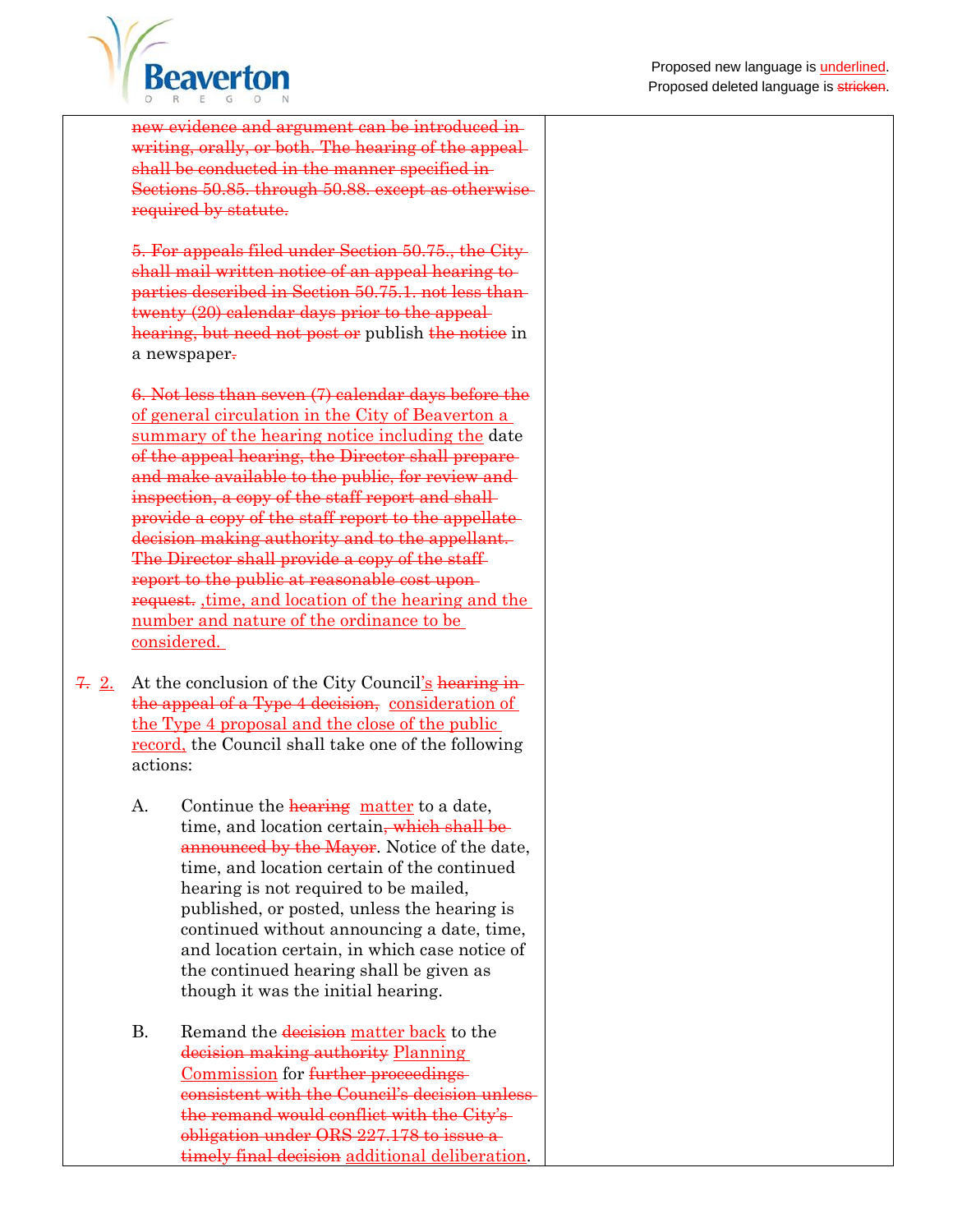

new evidence and argument can be introduced in writing, orally, or both. The hearing of the appeal shall be conducted in the manner specified in-Sections 50.85. through 50.88. except as otherwise required by statute.

5. For appeals filed under Section 50.75., the City shall mail written notice of an appeal hearing to parties described in Section 50.75.1. not less than twenty (20) calendar days prior to the appeal hearing, but need not post or publish the notice in a newspaper.

6. Not less than seven (7) calendar days before the of general circulation in the City of Beaverton a summary of the hearing notice including the date of the appeal hearing, the Director shall prepare and make available to the public, for review and inspection, a copy of the staff report and shall provide a copy of the staff report to the appellate decision making authority and to the appellant. The Director shall provide a copy of the staff report to the public at reasonable cost upon request. ,time, and location of the hearing and the number and nature of the ordinance to be considered.

- 7. 2. At the conclusion of the City Council's hearing inthe appeal of a Type 4 decision, consideration of the Type 4 proposal and the close of the public record, the Council shall take one of the following actions:
	- A. Continue the **hearing** matter to a date, time, and location certain<del>, which shall be</del> announced by the Mayor. Notice of the date, time, and location certain of the continued hearing is not required to be mailed, published, or posted, unless the hearing is continued without announcing a date, time, and location certain, in which case notice of the continued hearing shall be given as though it was the initial hearing.
	- B. Remand the decision matter back to the decision making authority Planning Commission for further proceedings consistent with the Council's decision unless the remand would conflict with the City's obligation under ORS 227.178 to issue a timely final decision additional deliberation.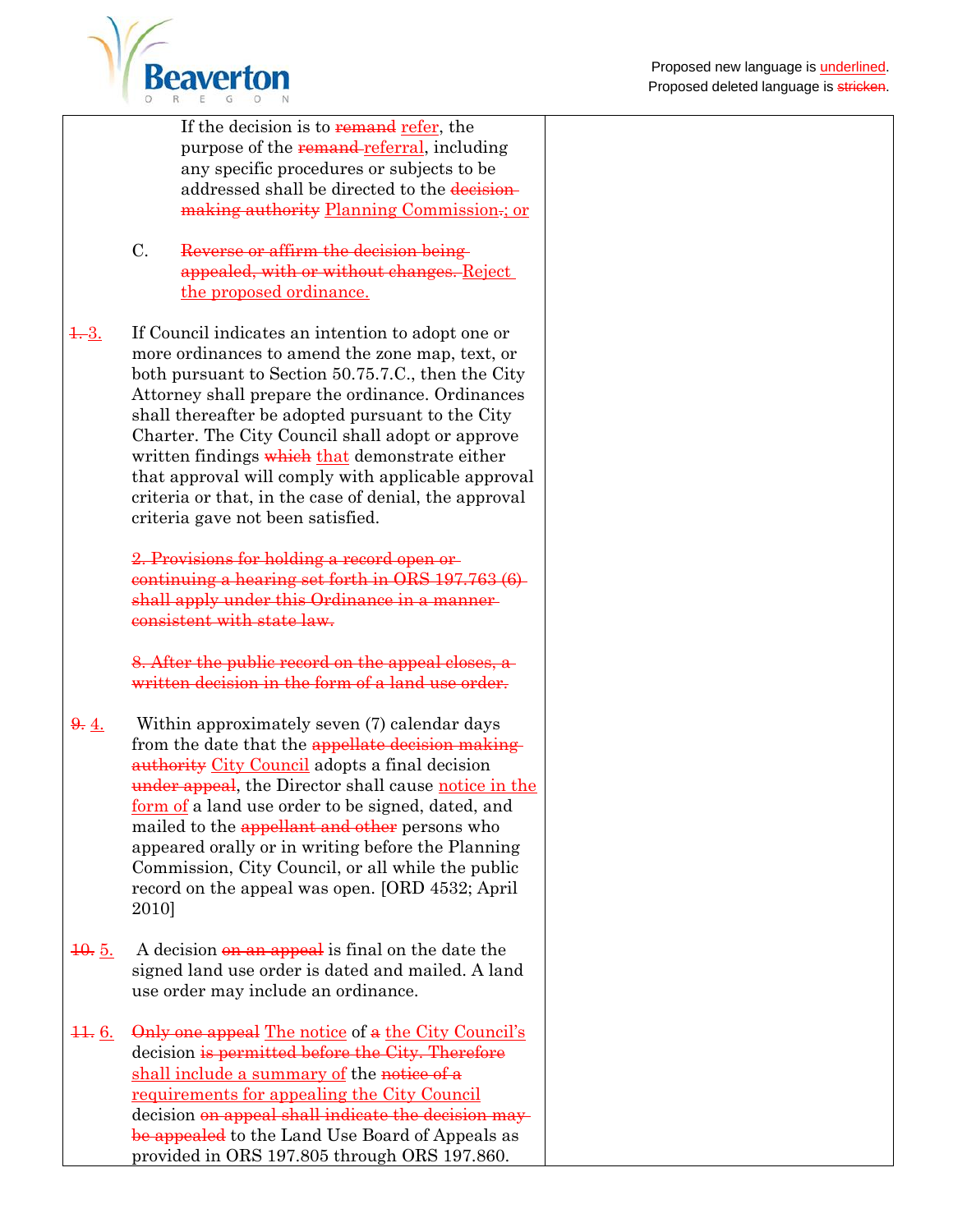

If the decision is to remand refer, the purpose of the remand-referral, including any specific procedures or subjects to be addressed shall be directed to the decisionmaking authority Planning Commission.; or

- C. Reverse or affirm the decision being appealed, with or without changes. Reject the proposed ordinance.
- 1. 3. If Council indicates an intention to adopt one or more ordinances to amend the zone map, text, or both pursuant to Section 50.75.7.C., then the City Attorney shall prepare the ordinance. Ordinances shall thereafter be adopted pursuant to the City Charter. The City Council shall adopt or approve written findings which that demonstrate either that approval will comply with applicable approval criteria or that, in the case of denial, the approval criteria gave not been satisfied.

2. Provisions for holding a record open or continuing a hearing set forth in ORS 197.763 (6) shall apply under this Ordinance in a mannerconsistent with state law.

8. After the public record on the appeal closes, a written decision in the form of a land use order.

- $\frac{9}{2}$ . Within approximately seven (7) calendar days from the date that the appellate decision making authority City Council adopts a final decision under appeal, the Director shall cause notice in the form of a land use order to be signed, dated, and mailed to the appellant and other persons who appeared orally or in writing before the Planning Commission, City Council, or all while the public record on the appeal was open. [ORD 4532; April 2010]
- $\frac{10}{6}$ . A decision on an appeal is final on the date the signed land use order is dated and mailed. A land use order may include an ordinance.
- $11.6.$  Only one appeal The notice of a the City Council's decision is permitted before the City. Therefore shall include a summary of the notice of a requirements for appealing the City Council decision on appeal shall indicate the decision may be appealed to the Land Use Board of Appeals as provided in ORS 197.805 through ORS 197.860.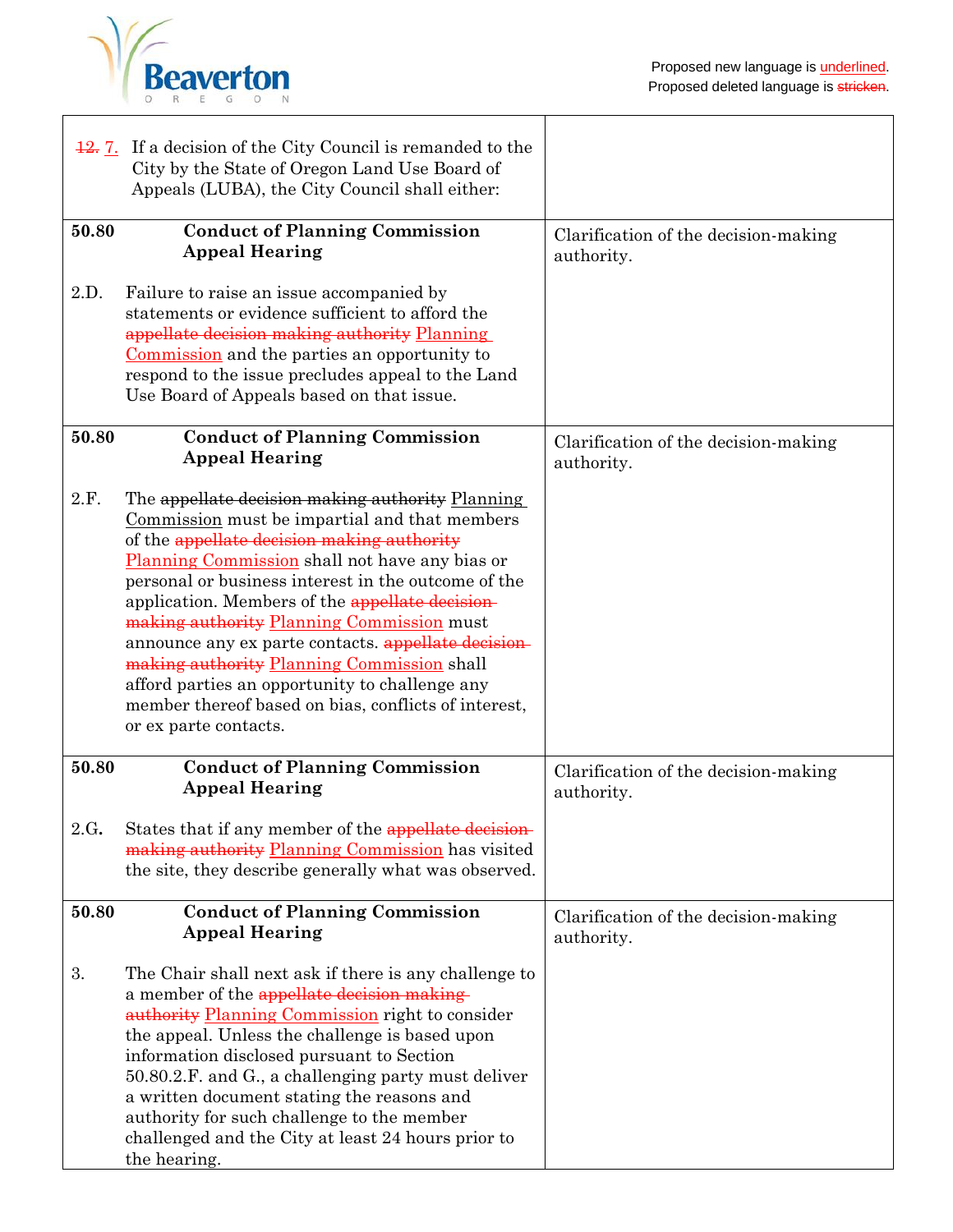

|       | 12. If a decision of the City Council is remanded to the<br>City by the State of Oregon Land Use Board of<br>Appeals (LUBA), the City Council shall either:                                                                                                                                                                                                                                                                                                                                                                                                                                      |                                                    |
|-------|--------------------------------------------------------------------------------------------------------------------------------------------------------------------------------------------------------------------------------------------------------------------------------------------------------------------------------------------------------------------------------------------------------------------------------------------------------------------------------------------------------------------------------------------------------------------------------------------------|----------------------------------------------------|
| 50.80 | <b>Conduct of Planning Commission</b><br><b>Appeal Hearing</b>                                                                                                                                                                                                                                                                                                                                                                                                                                                                                                                                   | Clarification of the decision-making<br>authority. |
| 2.D.  | Failure to raise an issue accompanied by<br>statements or evidence sufficient to afford the<br>appellate decision making authority Planning<br>Commission and the parties an opportunity to<br>respond to the issue precludes appeal to the Land<br>Use Board of Appeals based on that issue.                                                                                                                                                                                                                                                                                                    |                                                    |
| 50.80 | <b>Conduct of Planning Commission</b><br><b>Appeal Hearing</b>                                                                                                                                                                                                                                                                                                                                                                                                                                                                                                                                   | Clarification of the decision-making<br>authority. |
| 2.F.  | The appellate decision making authority Planning<br>Commission must be impartial and that members<br>of the appellate decision making authority<br>Planning Commission shall not have any bias or<br>personal or business interest in the outcome of the<br>application. Members of the appellate decision-<br>making authority Planning Commission must<br>announce any ex parte contacts. appellate decision-<br>making authority Planning Commission shall<br>afford parties an opportunity to challenge any<br>member thereof based on bias, conflicts of interest,<br>or ex parte contacts. |                                                    |
| 50.80 | <b>Conduct of Planning Commission</b><br><b>Appeal Hearing</b>                                                                                                                                                                                                                                                                                                                                                                                                                                                                                                                                   | Clarification of the decision-making<br>authority. |
| 2.G.  | States that if any member of the appellate decision-<br>making authority Planning Commission has visited<br>the site, they describe generally what was observed.                                                                                                                                                                                                                                                                                                                                                                                                                                 |                                                    |
| 50.80 | <b>Conduct of Planning Commission</b><br><b>Appeal Hearing</b>                                                                                                                                                                                                                                                                                                                                                                                                                                                                                                                                   | Clarification of the decision-making<br>authority. |
| 3.    | The Chair shall next ask if there is any challenge to<br>a member of the appellate decision making<br>authority Planning Commission right to consider<br>the appeal. Unless the challenge is based upon<br>information disclosed pursuant to Section<br>50.80.2.F. and G., a challenging party must deliver<br>a written document stating the reasons and<br>authority for such challenge to the member<br>challenged and the City at least 24 hours prior to<br>the hearing.                                                                                                                    |                                                    |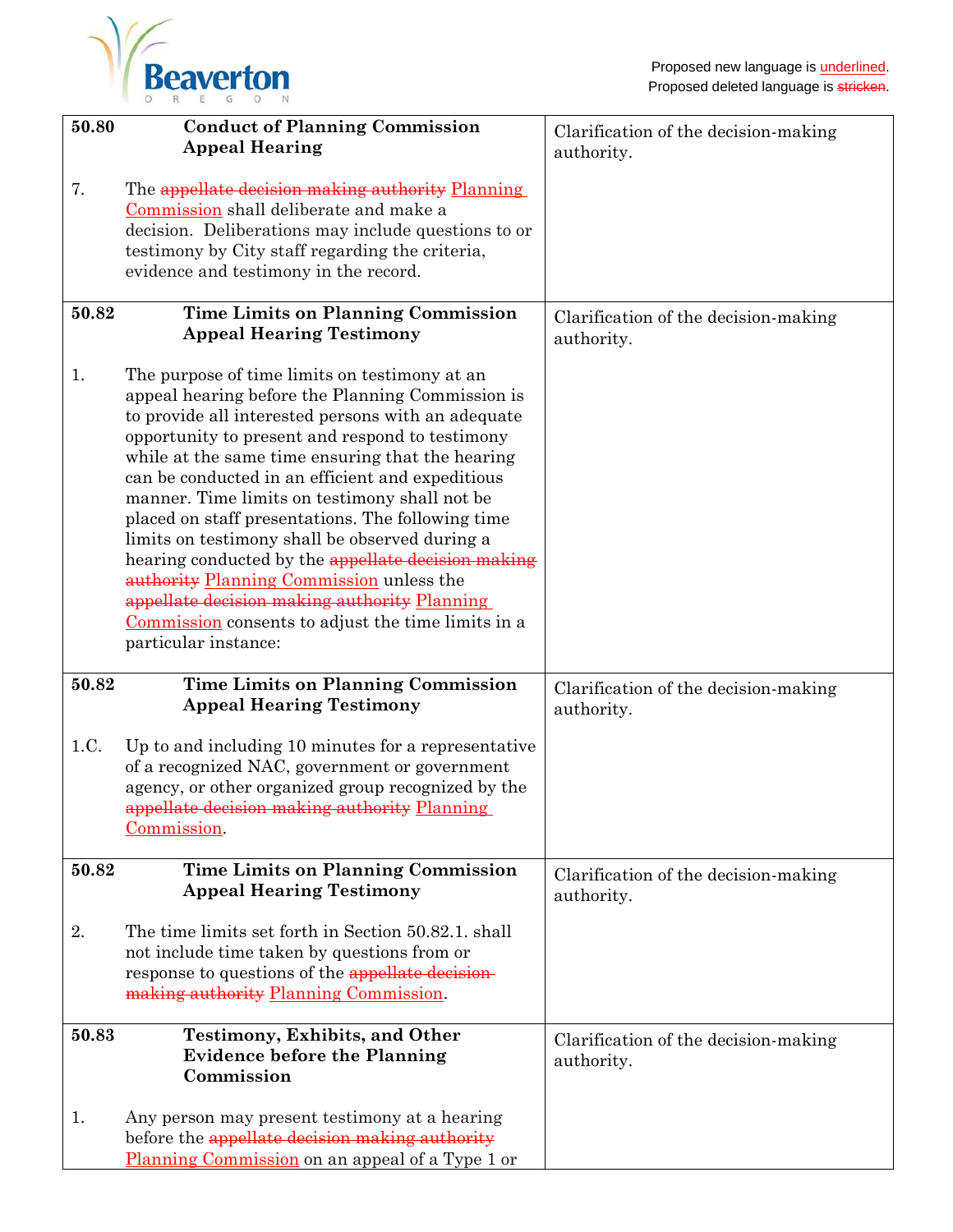| 50.80 | <b>Conduct of Planning Commission</b><br><b>Appeal Hearing</b>                                                                                                                                                                                                                                                                                                                                                                                                                                                                                                                                                                                                                                             | Clarification of the decision-making               |
|-------|------------------------------------------------------------------------------------------------------------------------------------------------------------------------------------------------------------------------------------------------------------------------------------------------------------------------------------------------------------------------------------------------------------------------------------------------------------------------------------------------------------------------------------------------------------------------------------------------------------------------------------------------------------------------------------------------------------|----------------------------------------------------|
|       |                                                                                                                                                                                                                                                                                                                                                                                                                                                                                                                                                                                                                                                                                                            | authority.                                         |
| 7.    | The appellate decision making authority Planning<br>Commission shall deliberate and make a<br>decision. Deliberations may include questions to or<br>testimony by City staff regarding the criteria,<br>evidence and testimony in the record.                                                                                                                                                                                                                                                                                                                                                                                                                                                              |                                                    |
| 50.82 | <b>Time Limits on Planning Commission</b><br><b>Appeal Hearing Testimony</b>                                                                                                                                                                                                                                                                                                                                                                                                                                                                                                                                                                                                                               | Clarification of the decision-making<br>authority. |
| 1.    | The purpose of time limits on testimony at an<br>appeal hearing before the Planning Commission is<br>to provide all interested persons with an adequate<br>opportunity to present and respond to testimony<br>while at the same time ensuring that the hearing<br>can be conducted in an efficient and expeditious<br>manner. Time limits on testimony shall not be<br>placed on staff presentations. The following time<br>limits on testimony shall be observed during a<br>hearing conducted by the appellate decision making<br>authority Planning Commission unless the<br>appellate decision making authority Planning<br>Commission consents to adjust the time limits in a<br>particular instance: |                                                    |
| 50.82 | <b>Time Limits on Planning Commission</b><br><b>Appeal Hearing Testimony</b>                                                                                                                                                                                                                                                                                                                                                                                                                                                                                                                                                                                                                               | Clarification of the decision-making<br>authority. |
| 1.C.  | Up to and including 10 minutes for a representative<br>of a recognized NAC, government or government<br>agency, or other organized group recognized by the<br>appellate decision making authority Planning<br>Commission.                                                                                                                                                                                                                                                                                                                                                                                                                                                                                  |                                                    |
| 50.82 | <b>Time Limits on Planning Commission</b><br><b>Appeal Hearing Testimony</b>                                                                                                                                                                                                                                                                                                                                                                                                                                                                                                                                                                                                                               | Clarification of the decision-making<br>authority. |
| 2.    | The time limits set forth in Section 50.82.1, shall<br>not include time taken by questions from or<br>response to questions of the appellate decision-<br>making authority Planning Commission.                                                                                                                                                                                                                                                                                                                                                                                                                                                                                                            |                                                    |
| 50.83 | <b>Testimony, Exhibits, and Other</b><br><b>Evidence before the Planning</b><br>Commission                                                                                                                                                                                                                                                                                                                                                                                                                                                                                                                                                                                                                 | Clarification of the decision-making<br>authority. |
| 1.    | Any person may present testimony at a hearing<br>before the appellate decision making authority<br>Planning Commission on an appeal of a Type 1 or                                                                                                                                                                                                                                                                                                                                                                                                                                                                                                                                                         |                                                    |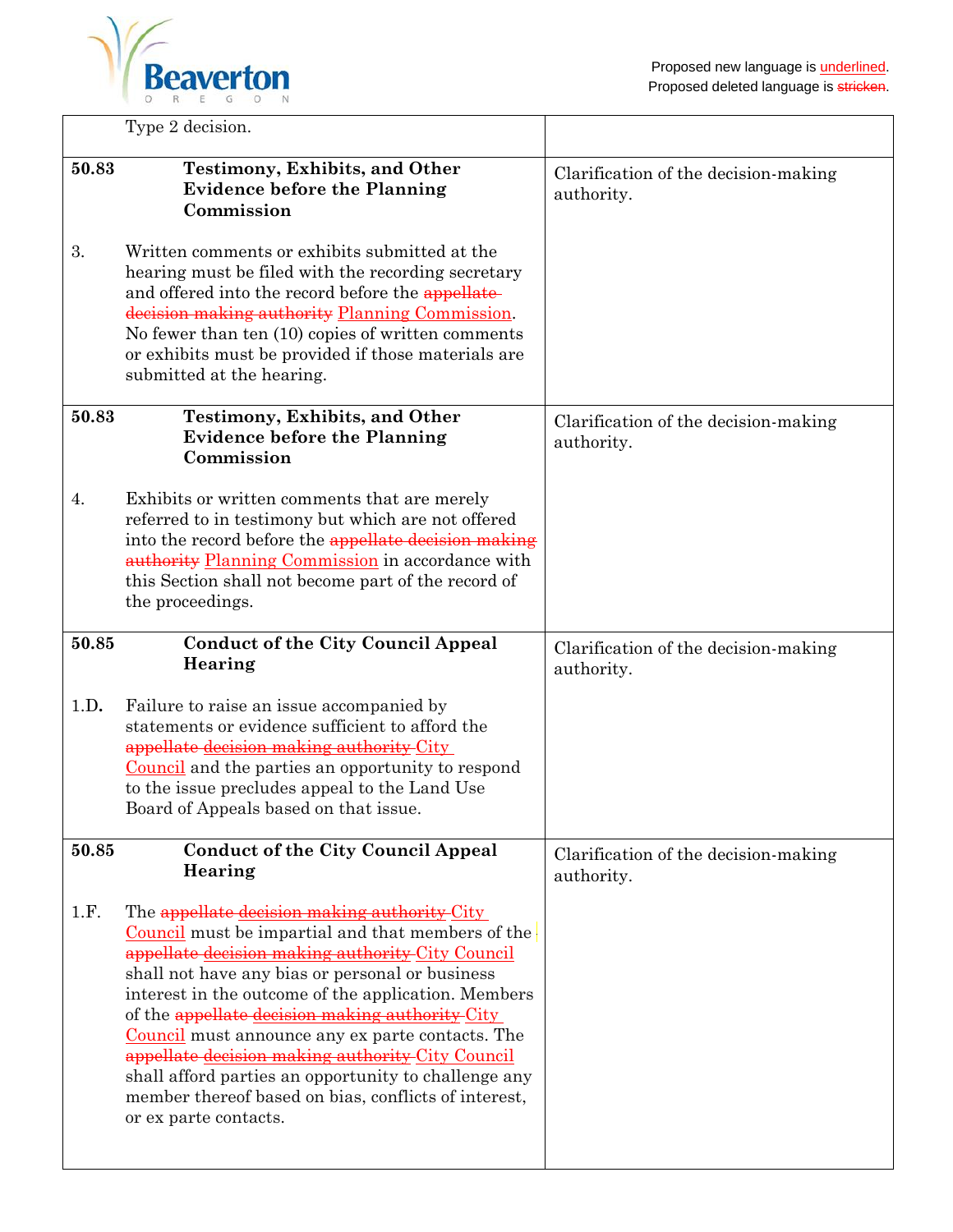$\overline{1}$ 



|       | Type 2 decision.                                                                                                                                                                                                                                                                                                                                                                                                                                                                                                                                                           |                                                    |
|-------|----------------------------------------------------------------------------------------------------------------------------------------------------------------------------------------------------------------------------------------------------------------------------------------------------------------------------------------------------------------------------------------------------------------------------------------------------------------------------------------------------------------------------------------------------------------------------|----------------------------------------------------|
| 50.83 | <b>Testimony, Exhibits, and Other</b><br><b>Evidence before the Planning</b><br>Commission                                                                                                                                                                                                                                                                                                                                                                                                                                                                                 | Clarification of the decision-making<br>authority. |
| 3.    | Written comments or exhibits submitted at the<br>hearing must be filed with the recording secretary<br>and offered into the record before the appellate-<br>decision making authority Planning Commission.<br>No fewer than ten (10) copies of written comments<br>or exhibits must be provided if those materials are<br>submitted at the hearing.                                                                                                                                                                                                                        |                                                    |
| 50.83 | <b>Testimony, Exhibits, and Other</b><br><b>Evidence before the Planning</b><br>Commission                                                                                                                                                                                                                                                                                                                                                                                                                                                                                 | Clarification of the decision-making<br>authority. |
| 4.    | Exhibits or written comments that are merely<br>referred to in testimony but which are not offered<br>into the record before the appellate decision making<br>authority Planning Commission in accordance with<br>this Section shall not become part of the record of<br>the proceedings.                                                                                                                                                                                                                                                                                  |                                                    |
| 50.85 | <b>Conduct of the City Council Appeal</b><br>Hearing                                                                                                                                                                                                                                                                                                                                                                                                                                                                                                                       | Clarification of the decision-making<br>authority. |
| 1.D.  | Failure to raise an issue accompanied by<br>statements or evidence sufficient to afford the<br>appellate decision making authority City<br>Council and the parties an opportunity to respond<br>to the issue precludes appeal to the Land Use<br>Board of Appeals based on that issue.                                                                                                                                                                                                                                                                                     |                                                    |
| 50.85 | <b>Conduct of the City Council Appeal</b><br>Hearing                                                                                                                                                                                                                                                                                                                                                                                                                                                                                                                       | Clarification of the decision-making<br>authority. |
| 1.F.  | The appellate decision making authority City<br>Council must be impartial and that members of the<br>appellate decision making authority City Council<br>shall not have any bias or personal or business<br>interest in the outcome of the application. Members<br>of the appellate decision making authority City<br><b>Council</b> must announce any ex parte contacts. The<br>appellate decision making authority City Council<br>shall afford parties an opportunity to challenge any<br>member thereof based on bias, conflicts of interest,<br>or ex parte contacts. |                                                    |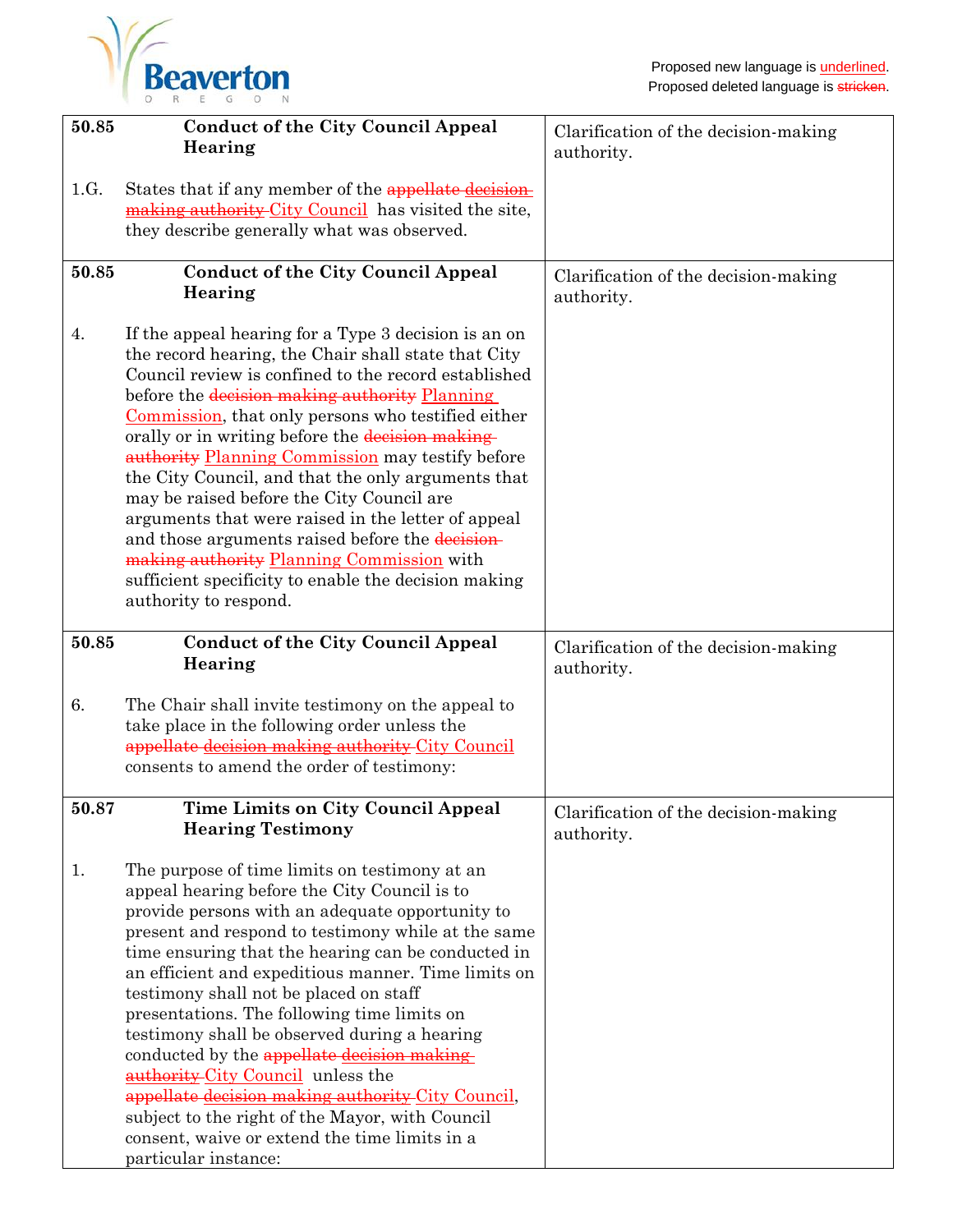

| 50.85 | <b>Conduct of the City Council Appeal</b><br>Hearing                                                                                                                                                                                                                                                                                                                                                                                                                                                                                                                                                                                                                                                                                    | Clarification of the decision-making<br>authority. |
|-------|-----------------------------------------------------------------------------------------------------------------------------------------------------------------------------------------------------------------------------------------------------------------------------------------------------------------------------------------------------------------------------------------------------------------------------------------------------------------------------------------------------------------------------------------------------------------------------------------------------------------------------------------------------------------------------------------------------------------------------------------|----------------------------------------------------|
| 1.G.  | States that if any member of the appellate decision-<br>making authority City Council has visited the site,<br>they describe generally what was observed.                                                                                                                                                                                                                                                                                                                                                                                                                                                                                                                                                                               |                                                    |
| 50.85 | <b>Conduct of the City Council Appeal</b><br>Hearing                                                                                                                                                                                                                                                                                                                                                                                                                                                                                                                                                                                                                                                                                    | Clarification of the decision-making<br>authority. |
| 4.    | If the appeal hearing for a Type 3 decision is an on<br>the record hearing, the Chair shall state that City<br>Council review is confined to the record established<br>before the decision making authority Planning<br>Commission, that only persons who testified either<br>orally or in writing before the decision making-<br>authority Planning Commission may testify before<br>the City Council, and that the only arguments that<br>may be raised before the City Council are<br>arguments that were raised in the letter of appeal<br>and those arguments raised before the decision-<br>making authority Planning Commission with<br>sufficient specificity to enable the decision making<br>authority to respond.            |                                                    |
| 50.85 | <b>Conduct of the City Council Appeal</b><br>Hearing                                                                                                                                                                                                                                                                                                                                                                                                                                                                                                                                                                                                                                                                                    | Clarification of the decision-making<br>authority. |
| 6.    | The Chair shall invite testimony on the appeal to<br>take place in the following order unless the<br>appellate decision making authority City Council<br>consents to amend the order of testimony:                                                                                                                                                                                                                                                                                                                                                                                                                                                                                                                                      |                                                    |
| 50.87 | <b>Time Limits on City Council Appeal</b><br><b>Hearing Testimony</b>                                                                                                                                                                                                                                                                                                                                                                                                                                                                                                                                                                                                                                                                   | Clarification of the decision-making<br>authority. |
| 1.    | The purpose of time limits on testimony at an<br>appeal hearing before the City Council is to<br>provide persons with an adequate opportunity to<br>present and respond to testimony while at the same<br>time ensuring that the hearing can be conducted in<br>an efficient and expeditious manner. Time limits on<br>testimony shall not be placed on staff<br>presentations. The following time limits on<br>testimony shall be observed during a hearing<br>conducted by the appellate decision making<br><b>authority-City Council</b> unless the<br>appellate decision making authority City Council,<br>subject to the right of the Mayor, with Council<br>consent, waive or extend the time limits in a<br>particular instance: |                                                    |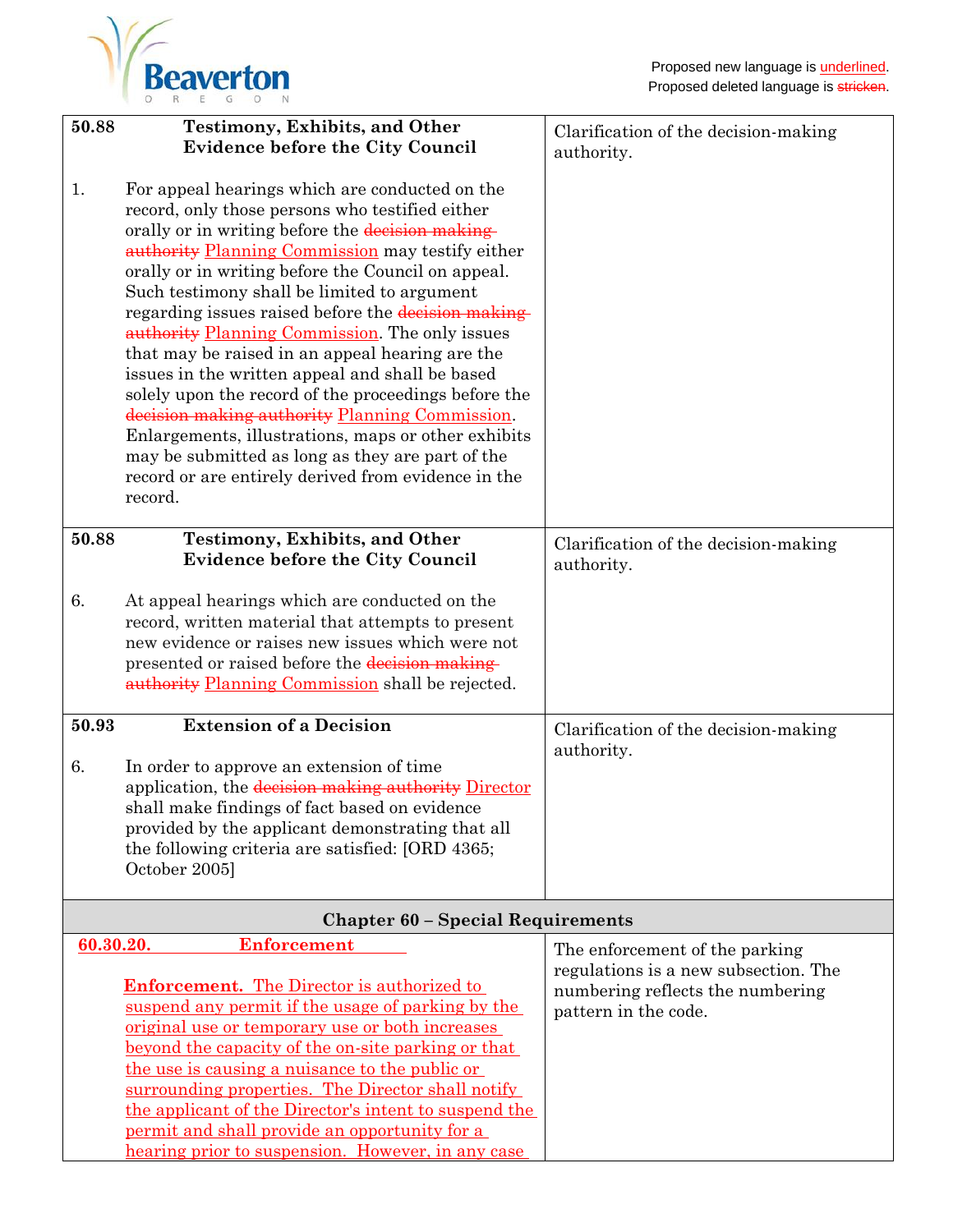

| 50.88                                    | <b>Testimony, Exhibits, and Other</b>                                                                                                                                                                                                                                                                                                                                                                                                                                                                                                                                                                                                                                                                                                                                                                               | Clarification of the decision-making                     |  |
|------------------------------------------|---------------------------------------------------------------------------------------------------------------------------------------------------------------------------------------------------------------------------------------------------------------------------------------------------------------------------------------------------------------------------------------------------------------------------------------------------------------------------------------------------------------------------------------------------------------------------------------------------------------------------------------------------------------------------------------------------------------------------------------------------------------------------------------------------------------------|----------------------------------------------------------|--|
|                                          | <b>Evidence before the City Council</b>                                                                                                                                                                                                                                                                                                                                                                                                                                                                                                                                                                                                                                                                                                                                                                             | authority.                                               |  |
| 1.                                       | For appeal hearings which are conducted on the<br>record, only those persons who testified either<br>orally or in writing before the decision making<br>authority Planning Commission may testify either<br>orally or in writing before the Council on appeal.<br>Such testimony shall be limited to argument<br>regarding issues raised before the decision making-<br>authority Planning Commission. The only issues<br>that may be raised in an appeal hearing are the<br>issues in the written appeal and shall be based<br>solely upon the record of the proceedings before the<br>decision making authority Planning Commission.<br>Enlargements, illustrations, maps or other exhibits<br>may be submitted as long as they are part of the<br>record or are entirely derived from evidence in the<br>record. |                                                          |  |
| 50.88                                    | <b>Testimony, Exhibits, and Other</b>                                                                                                                                                                                                                                                                                                                                                                                                                                                                                                                                                                                                                                                                                                                                                                               | Clarification of the decision-making                     |  |
|                                          | <b>Evidence before the City Council</b>                                                                                                                                                                                                                                                                                                                                                                                                                                                                                                                                                                                                                                                                                                                                                                             | authority.                                               |  |
| 6.                                       | At appeal hearings which are conducted on the<br>record, written material that attempts to present<br>new evidence or raises new issues which were not                                                                                                                                                                                                                                                                                                                                                                                                                                                                                                                                                                                                                                                              |                                                          |  |
|                                          | presented or raised before the decision making-<br>authority Planning Commission shall be rejected.                                                                                                                                                                                                                                                                                                                                                                                                                                                                                                                                                                                                                                                                                                                 |                                                          |  |
| 50.93                                    | <b>Extension of a Decision</b>                                                                                                                                                                                                                                                                                                                                                                                                                                                                                                                                                                                                                                                                                                                                                                                      | Clarification of the decision-making                     |  |
| 6.                                       | In order to approve an extension of time                                                                                                                                                                                                                                                                                                                                                                                                                                                                                                                                                                                                                                                                                                                                                                            | authority.                                               |  |
|                                          | application, the decision making authority Director                                                                                                                                                                                                                                                                                                                                                                                                                                                                                                                                                                                                                                                                                                                                                                 |                                                          |  |
|                                          | shall make findings of fact based on evidence<br>provided by the applicant demonstrating that all                                                                                                                                                                                                                                                                                                                                                                                                                                                                                                                                                                                                                                                                                                                   |                                                          |  |
|                                          | the following criteria are satisfied: [ORD 4365;                                                                                                                                                                                                                                                                                                                                                                                                                                                                                                                                                                                                                                                                                                                                                                    |                                                          |  |
|                                          | October 2005]                                                                                                                                                                                                                                                                                                                                                                                                                                                                                                                                                                                                                                                                                                                                                                                                       |                                                          |  |
| <b>Chapter 60 - Special Requirements</b> |                                                                                                                                                                                                                                                                                                                                                                                                                                                                                                                                                                                                                                                                                                                                                                                                                     |                                                          |  |
| 60.30.20.                                | <b>Enforcement</b>                                                                                                                                                                                                                                                                                                                                                                                                                                                                                                                                                                                                                                                                                                                                                                                                  | The enforcement of the parking                           |  |
|                                          | <b>Enforcement.</b> The Director is authorized to                                                                                                                                                                                                                                                                                                                                                                                                                                                                                                                                                                                                                                                                                                                                                                   | regulations is a new subsection. The                     |  |
|                                          | suspend any permit if the usage of parking by the                                                                                                                                                                                                                                                                                                                                                                                                                                                                                                                                                                                                                                                                                                                                                                   | numbering reflects the numbering<br>pattern in the code. |  |
|                                          | original use or temporary use or both increases                                                                                                                                                                                                                                                                                                                                                                                                                                                                                                                                                                                                                                                                                                                                                                     |                                                          |  |
|                                          | beyond the capacity of the on-site parking or that                                                                                                                                                                                                                                                                                                                                                                                                                                                                                                                                                                                                                                                                                                                                                                  |                                                          |  |
|                                          | the use is causing a nuisance to the public or<br>surrounding properties. The Director shall notify                                                                                                                                                                                                                                                                                                                                                                                                                                                                                                                                                                                                                                                                                                                 |                                                          |  |
|                                          | the applicant of the Director's intent to suspend the                                                                                                                                                                                                                                                                                                                                                                                                                                                                                                                                                                                                                                                                                                                                                               |                                                          |  |
|                                          | permit and shall provide an opportunity for a                                                                                                                                                                                                                                                                                                                                                                                                                                                                                                                                                                                                                                                                                                                                                                       |                                                          |  |
|                                          | <u>hearing prior to suspension. However, in any case</u>                                                                                                                                                                                                                                                                                                                                                                                                                                                                                                                                                                                                                                                                                                                                                            |                                                          |  |